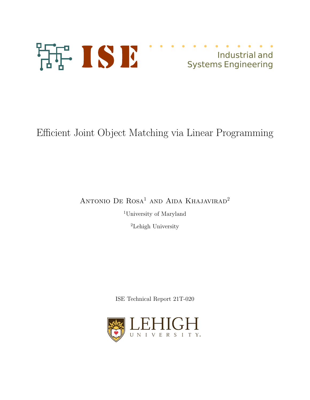

# Industrial and Systems Engineering

Efficient Joint Object Matching via Linear Programming

ANTONIO DE ROSA<sup>1</sup> AND AIDA KHAJAVIRAD<sup>2</sup>

<sup>1</sup>University of Maryland

<sup>2</sup>Lehigh University

ISE Technical Report 21T-020

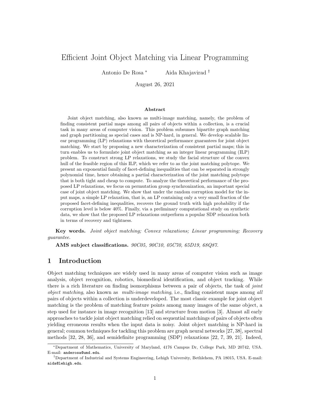## Efficient Joint Object Matching via Linear Programming

Antonio De Rosa<sup>\*</sup> Aida Khajavirad<sup>†</sup>

August 26, 2021

#### Abstract

Joint object matching, also known as multi-image matching, namely, the problem of finding consistent partial maps among all pairs of objects within a collection, is a crucial task in many areas of computer vision. This problem subsumes bipartite graph matching and graph partitioning as special cases and is NP-hard, in general. We develop scalable linear programming (LP) relaxations with theoretical performance guarantees for joint object matching. We start by proposing a new characterization of consistent partial maps; this in turn enables us to formulate joint object matching as an integer linear programming (ILP) problem. To construct strong LP relaxations, we study the facial structure of the convex hull of the feasible region of this ILP, which we refer to as the joint matching polytope. We present an exponential family of facet-defining inequalities that can be separated in strongly polynomial time, hence obtaining a partial characterization of the joint matching polytope that is both tight and cheap to compute. To analyze the theoretical performance of the proposed LP relaxations, we focus on permutation group synchronization, an important special case of joint object matching. We show that under the random corruption model for the input maps, a simple LP relaxation, that is, an LP containing only a very small fraction of the proposed facet-defining inequalities, recovers the ground truth with high probability if the corruption level is below 40%. Finally, via a preliminary computational study on synthetic data, we show that the proposed LP relaxations outperform a popular SDP relaxation both in terms of recovery and tightness.

Key words. Joint object matching; Convex relaxations; Linear programming; Recovery guarantee.

AMS subject classifications. 90C05, 90C10, 05C70, 65D19, 68Q87.

## 1 Introduction

Object matching techniques are widely used in many areas of computer vision such as image analysis, object recognition, robotics, biomedical identification, and object tracking. While there is a rich literature on finding isomorphisms between a pair of objects, the task of *joint* object matching, also known as multi-image matching, i.e., finding consistent maps among all pairs of objects within a collection is underdeveloped. The most classic example for joint object matching is the problem of matching feature points among many images of the same object, a step used for instance in image recognition [13] and structure from motion [3]. Almost all early approaches to tackle joint object matching relied on sequential matchings of pairs of objects often yielding erroneous results when the input data is noisy. Joint object matching is NP-hard in general; common techniques for tackling this problem are graph neural networks [27, 38], spectral methods [32, 28, 36], and semidefinite programming (SDP) relaxations [22, 7, 39, 21]. Indeed,

<sup>\*</sup>Department of Mathematics, University of Maryland, 4176 Campus Dr, College Park, MD 20742, USA. E-mail: anderosa@umd.edu.

<sup>&</sup>lt;sup>†</sup>Department of Industrial and Systems Engineering, Lehigh University, Bethlehem, PA 18015, USA. E-mail: aida@lehigh.edu.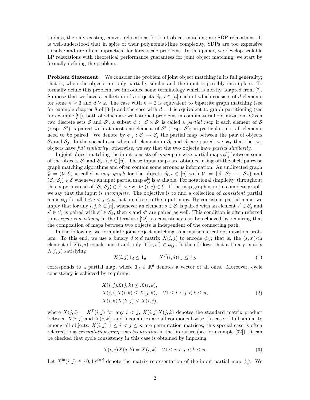to date, the only existing convex relaxations for joint object matching are SDP relaxations. It is well-understood that in spite of their polynomial-time complexity, SDPs are too expensive to solve and are often impractical for large-scale problems. In this paper, we develop scalable LP relaxations with theoretical performance guarantees for joint object matching; we start by formally defining the problem.

**Problem Statement.** We consider the problem of joint object matching in its full generality; that is, when the objects are only partially similar and the input is possibly incomplete. To formally define this problem, we introduce some terminology which is mostly adapted from [7]. Suppose that we have a collection of n objects  $S_i$ ,  $i \in [n]$  each of which consists of d elements for some  $n \geq 3$  and  $d \geq 2$ . The case with  $n = 2$  is equivalent to bipartite graph matching (see for example chapter 8 of [34]) and the case with  $d = 1$  is equivalent to graph partitioning (see for example [9]), both of which are well-studied problems in combinatorial optimization. Given two discrete sets S and S', a subset  $\phi \subset S \times S'$  is called a *partial map* if each element of S (resp.  $\mathcal{S}'$ ) is paired with at most one element of  $\mathcal{S}'$  (resp.  $\mathcal{S}$ ); in particular, not all elements need to be paired. We denote by  $\phi_{ij}$ :  $S_i \rightarrow S_j$  the partial map between the pair of objects  $S_i$  and  $S_j$ . In the special case where all elements in  $S_i$  and  $S_j$  are paired, we say that the two objects have full similarity; otherwise, we say that the two objects have partial similarity.

In joint object matching the input consists of *noisy* pair-wise partial maps  $\phi_{ij}^{\text{in}}$  between some of the objects  $S_i$  and  $S_j$ ,  $i, j \in [n]$ . These input maps are obtained using off-the-shelf pairwise graph matching algorithms and often contain some erroneous information. An undirected graph  $\mathcal{G} = (\mathcal{V}, \mathcal{E})$  is called a *map graph* for the objects  $\mathcal{S}_i, i \in [n]$  with  $\mathcal{V} := {\mathcal{S}_1, \mathcal{S}_2, \cdots, \mathcal{S}_n}$  and  $(S_i, S_j) \in \mathcal{E}$  whenever an input partial map  $\phi_{ij}^{\text{in}}$  is available. For notational simplicity, throughout this paper instead of  $(\mathcal{S}_i, \mathcal{S}_j) \in \mathcal{E}$ , we write  $(i, j) \in \mathcal{E}$ . If the map graph is not a complete graph, we say that the input is *incomplete*. The objective is to find a collection of *consistent* partial maps  $\phi_{ij}$  for all  $1 \leq i < j \leq n$  that are close to the input maps. By consistent partial maps, we imply that for any  $i, j, k \in [n]$ , whenever an element  $s \in S_i$  is paired with an element  $s' \in S_j$  and  $s' \in S_j$  is paired with  $s'' \in S_k$ , then s and s'' are paired as well. This condition is often referred to as cycle consistency in the literature [22], as consistency can be achieved by requiring that the composition of maps between two objects is independent of the connecting path.

In the following, we formulate joint object matching as a mathematical optimization problem. To this end, we use a binary  $d \times d$  matrix  $X(i, j)$  to encode  $\phi_{ij}$ ; that is, the  $(s, s')$ -th element of  $X(i, j)$  equals one if and only if  $(s, s') \in \phi_{ij}$ . It then follows that a binary matrix  $X(i, j)$  satisfying

$$
X(i,j)\mathbf{1}_d \le \mathbf{1}_d, \qquad X^T(i,j)\mathbf{1}_d \le \mathbf{1}_d,\tag{1}
$$

corresponds to a partial map, where  $\mathbf{1}_d \in \mathbb{R}^d$  denotes a vector of all ones. Moreover, cycle consistency is achieved by requiring:

$$
X(i,j)X(j,k) \le X(i,k),
$$
  
\n
$$
X(j,i)X(i,k) \le X(j,k), \quad \forall 1 \le i < j < k \le n,
$$
  
\n
$$
X(i,k)X(k,j) \le X(i,j),
$$
\n
$$
(2)
$$

where  $X(j,i) = X^T(i,j)$  for any  $i < j$ ,  $X(i,j)X(j,k)$  denotes the standard matrix product between  $X(i, j)$  and  $X(j, k)$ , and inequalities are all component-wise. In case of full similarity among all objects,  $X(i, j)$   $1 \leq i < j \leq n$  are permutation matrices; this special case is often referred to as *permutation group synchronization* in the literature (see for example [32]). It can be checked that cycle consistency in this case is obtained by imposing:

$$
X(i,j)X(j,k) = X(i,k) \quad \forall 1 \le i < j < k \le n. \tag{3}
$$

Let  $X^{\text{in}}(i,j) \in \{0,1\}^{d \times d}$  denote the matrix representation of the input partial map  $\phi_{ij}^{\text{in}}$ . We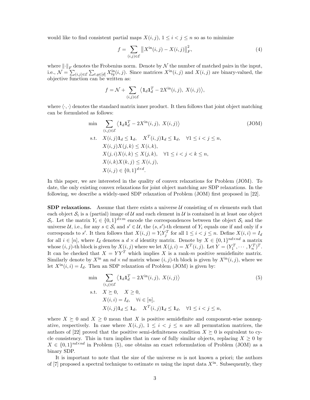would like to find consistent partial maps  $X(i, j)$ ,  $1 \leq i \leq j \leq n$  so as to minimize

$$
f = \sum_{(i,j)\in\mathcal{E}} \|X^{\text{in}}(i,j) - X(i,j)\|_{F}^{2},\tag{4}
$$

where  $\left\| \cdot \right\|_F$  denotes the Frobenius norm. Denote by N the number of matched pairs in the input, i.e.,  $\mathcal{N} = \sum_{(i,j)\in\mathcal{E}} \sum_{t,q \in [d]} X_{tq}^{\text{in}}(i,j)$ . Since matrices  $X^{\text{in}}(i,j)$  and  $X(i,j)$  are binary-valued, the objective function can be written as:

$$
f = \mathcal{N} + \sum_{(i,j) \in \mathcal{E}} \langle \mathbf{1}_d \mathbf{1}_d^T - 2X^{\text{in}}(i,j), \ X(i,j) \rangle,
$$

where  $\langle \cdot, \cdot \rangle$  denotes the standard matrix inner product. It then follows that joint object matching can be formulated as follows:

$$
\min \sum_{(i,j)\in \mathcal{E}} \left\langle \mathbf{1}_d \mathbf{1}_d^T - 2X^{\text{in}}(i,j), X(i,j) \right\rangle
$$
\n
$$
\text{s.t.} \quad X(i,j)\mathbf{1}_d \leq \mathbf{1}_d, \quad X^T(i,j)\mathbf{1}_d \leq \mathbf{1}_d, \quad \forall 1 \leq i < j \leq n,
$$
\n
$$
X(i,j)X(j,k) \leq X(i,k),
$$
\n
$$
X(j,i)X(i,k) \leq X(j,k), \quad \forall 1 \leq i < j < k \leq n,
$$
\n
$$
X(i,k)X(k,j) \leq X(i,j),
$$
\n
$$
X(i,j) \in \{0,1\}^{d \times d}.
$$
\n
$$
(JOM)
$$

In this paper, we are interested in the quality of convex relaxations for Problem (JOM). To date, the only existing convex relaxations for joint object matching are SDP relaxations. In the following, we describe a widely-used SDP relaxation of Problem (JOM) first proposed in [22].

**SDP relaxations.** Assume that there exists a universe  $\mathcal{U}$  consisting of m elements such that each object  $S_i$  is a (partial) image of U and each element in U is contained in at least one object  $S_i$ . Let the matrix  $Y_i \in \{0,1\}^{d \times m}$  encode the correspondences between the object  $S_i$  and the universe U, i.e., for any  $s \in S_i$  and  $s' \in U$ , the  $(s, s')$ -th element of  $Y_i$  equals one if and only if s corresponds to s'. It then follows that  $X(i, j) = Y_i Y_j^T$  for all  $1 \leq i < j \leq n$ . Define  $X(i, i) = I_d$ for all  $i \in [n]$ , where  $I_d$  denotes a  $d \times d$  identity matrix. Denote by  $X \in \{0,1\}^{nd \times nd}$  a matrix whose  $(i, j)$ -th block is given by  $X(i, j)$  where we let  $X(j, i) = X^T(i, j)$ . Let  $Y = (Y_1^T, \dots, Y_n^T)^T$ . It can be checked that  $X = YY^T$  which implies X is a rank-m positive semidefinite matrix. Similarly denote by  $X^{in}$  an  $nd \times nd$  matrix whose  $(i, j)$ -th block is given by  $X^{in}(i, j)$ , where we let  $X^{\text{in}}(i, i) = I_d$ . Then an SDP relaxation of Problem (JOM) is given by:

$$
\min \sum_{(i,j)\in \mathcal{E}} \langle \mathbf{1}_d \mathbf{1}_d^T - 2X^{\text{in}}(i,j), X(i,j) \rangle
$$
\n
$$
\text{s.t.} \quad X \succeq 0, \quad X \ge 0,
$$
\n
$$
X(i,i) = I_d, \quad \forall i \in [n],
$$
\n
$$
X(i,j)\mathbf{1}_d \le \mathbf{1}_d, \quad X^T(i,j)\mathbf{1}_d \le \mathbf{1}_d, \quad \forall 1 \le i < j \le n,
$$
\n
$$
(5)
$$

where  $X \succeq 0$  and  $X \geq 0$  mean that X is positive semidefinite and component-wise nonnegative, respectively. In case where  $X(i, j)$ ,  $1 \leq i \leq j \leq n$  are all permutation matrices, the authors of [22] proved that the positive semi-definiteness condition  $X \succeq 0$  is equivalent to cycle consistency. This in turn implies that in case of fully similar objects, replacing  $X \geq 0$  by  $X \in \{0,1\}^{nd \times nd}$  in Problem (5), one obtains an exact reformulation of Problem (JOM) as a binary SDP.

It is important to note that the size of the universe  $m$  is not known a priori; the authors of [7] proposed a spectral technique to estimate m using the input data  $X^{in}$ . Subsequently, they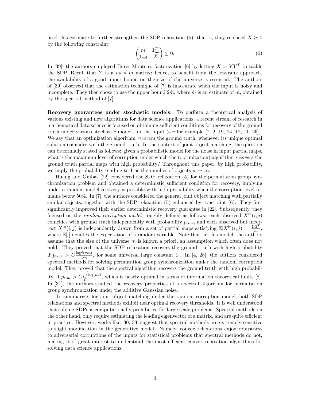used this estimate to further strengthen the SDP relaxation (5); that is, they replaced  $X \succeq 0$ by the following constraint:

$$
\begin{pmatrix} m & \mathbf{1}_{nd}^T \\ \mathbf{1}_{nd} & X \end{pmatrix} \succeq 0.
$$
 (6)

In [39], the authors employed Burer-Monteiro factorization [6] by letting  $X = YY^T$  to tackle the SDP. Recall that Y is a  $nd \times m$  matrix; hence, to benefit from the low-rank approach, the availability of a good upper bound on the size of the universe is essential. The authors of [39] observed that the estimation technique of [7] is inaccurate when the input is noisy and incomplete. They then chose to use the upper bound  $2\hat{m}$ , where  $\hat{m}$  is an estimate of m, obtained by the spectral method of [7].

Recovery guarantees under stochastic models. To perform a theoretical analysis of various existing and new algorithms for data science applications, a recent stream of research in mathematical data science is focused on obtaining sufficient conditions for recovery of the ground truth under various stochastic models for the input (see for example [7, 2, 19, 24, 12, 11, 26]). We say that an optimization algorithm *recovers* the ground truth, whenever its unique optimal solution coincides with the ground truth. In the context of joint object matching, the question can be formally stated as follows: given a probabilistic model for the noise in input partial maps, what is the maximum level of corruption under which the (optimization) algorithm recovers the ground truth partial maps with high probability? Throughout this paper, by high probability, we imply the probability tending to 1 as the number of objects  $n \to \infty$ .

Huang and Guibas [22] considered the SDP relaxation (5) for the permutation group synchronization problem and obtained a deterministic sufficient condition for recovery, implying under a random model recovery is possible with high probability when the corruption level remains below 50%. In [7], the authors considered the general joint object matching with partially similar objects, together with the SDP relaxation (5) enhanced by constraint (6). They first significantly improved their earlier deterministic recovery guarantee in [22]. Subsequently, they focused on the *random corruption model*, roughly defined as follows: each observed  $X^{\text{in}}(i, j)$ coincides with ground truth independently with probability  $p_{true}$ , and each observed but incorrect  $X^{\text{in}}(i, j)$  is independently drawn from a set of partial maps satisfying  $\mathbb{E}[X^{\text{in}}(i, j)] = \frac{1 \cdot 1^{\text{T}}}{m}$ , where  $\mathbb{E}[\cdot]$  denotes the expectation of a random variable. Note that, in this model, the authors assume that the size of the universe  $m$  is known a priori, an assumption which often does not hold. They proved that the SDP relaxation recovers the ground truth with high probability if  $p_{\text{true}} > C \frac{\log^2(nm)}{\sqrt{n}}$ , for some universal large constant C. In [4, 28], the authors considered spectral methods for solving permutation group synchronization under the random corruption model. They proved that the spectral algorithm recovers the ground truth with high probability, if  $p_{\text{true}} > C \sqrt{\frac{\log(nd)}{n}}$  $\frac{(na)}{n}$ , which is nearly optimal in terms of information theoretical limits [8]. In [31], the authors studied the recovery properties of a spectral algorithm for permutation group synchronization under the additive Gaussian noise.

To summarize, for joint object matching under the random corruption model, both SDP relaxations and spectral methods exhibit near optimal recovery thresholds. It is well understood that solving SDPs is computationally prohibitive for large-scale problems. Spectral methods on the other hand, only require estimating the leading eigenvector of a matrix, and are quite efficient in practice. However, works like [30, 33] suggest that spectral methods are extremely sensitive to slight modification in the generative model. Namely, convex relaxations enjoy robustness to adversarial corruptions of the inputs for statistical problems that spectral methods do not, making it of great interest to understand the most efficient convex relaxation algorithms for solving data science applications.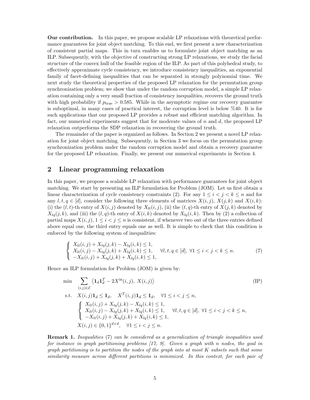Our contribution. In this paper, we propose scalable LP relaxations with theoretical performance guarantees for joint object matching. To this end, we first present a new characterization of consistent partial maps. This in turn enables us to formulate joint object matching as an ILP. Subsequently, with the objective of constructing strong LP relaxations, we study the facial structure of the convex hull of the feasible region of the ILP. As part of this polyhedral study, to effectively approximate cycle consistency, we introduce consistency inequalities, an exponential family of facet-defining inequalities that can be separated in strongly polynomial time. We next study the theoretical properties of the proposed LP relaxation for the permutation group synchronization problem; we show that under the random corruption model, a simple LP relaxation containing only a very small fraction of consistency inequalities, recovers the ground truth with high probability if  $p_{true} > 0.585$ . While in the asymptotic regime our recovery guarantee is suboptimal, in many cases of practical interest, the corruption level is below %40. It is for such applications that our proposed LP provides a robust and efficient matching algorithm. In fact, our numerical experiments suggest that for moderate values of  $n$  and  $d$ , the proposed LP relaxation outperforms the SDP relaxation in recovering the ground truth.

The remainder of the paper is organized as follows. In Section 2 we present a novel LP relaxation for joint object matching. Subsequently, in Section 3 we focus on the permutation group synchronization problem under the random corruption model and obtain a recovery guarantee for the proposed LP relaxation. Finally, we present our numerical experiments in Section 4.

## 2 Linear programming relaxation

In this paper, we propose a scalable LP relaxation with performance guarantees for joint object matching. We start by presenting an ILP formulation for Problem (JOM). Let us first obtain a linear characterization of cycle consistency constraints (2). For any  $1 \leq i < j < k \leq n$  and for any  $l, t, q \in [d]$ , consider the following three elements of matrices  $X(i, j)$ ,  $X(j, k)$  and  $X(i, k)$ : (i) the  $(l, t)$ -th entry of  $X(i, j)$  denoted by  $X_{lt}(i, j)$ , (ii) the  $(t, q)$ -th entry of  $X(j, k)$  denoted by  $X_{tq}(j, k)$ , and (iii) the  $(l, q)$ -th entry of  $X(i, k)$  denoted by  $X_{lq}(i, k)$ . Then by (2) a collection of partial maps  $X(i, j)$ ,  $1 \leq i \leq j \leq n$  is consistent, if whenever two out of the three entries defined above equal one, the third entry equals one as well. It is simple to check that this condition is enforced by the following system of inequalities:

$$
\begin{cases}\nX_{lt}(i,j) + X_{tq}(j,k) - X_{lq}(i,k) \le 1, \\
X_{lt}(i,j) - X_{tq}(j,k) + X_{lq}(i,k) \le 1, \\
-X_{lt}(i,j) + X_{tq}(j,k) + X_{lq}(i,k) \le 1,\n\end{cases} \quad \forall l, t, q \in [d], \forall 1 \le i < j < k \le n.
$$
\n(7)

Hence an ILP formulation for Problem (JOM) is given by:

$$
\min \sum_{(i,j)\in\mathcal{E}} \langle \mathbf{1}_d \mathbf{1}_d^T - 2X^{\text{in}}(i,j), X(i,j) \rangle \tag{IP}
$$
\n
$$
\text{s.t.} \quad X(i,j) \mathbf{1}_d \leq \mathbf{1}_d, \quad X^T(i,j) \mathbf{1}_d \leq \mathbf{1}_d, \quad \forall 1 \leq i < j \leq n,
$$
\n
$$
\begin{cases}\nX_{lt}(i,j) + X_{tq}(j,k) - X_{lq}(i,k) \leq 1, \\
X_{lt}(i,j) - X_{tq}(j,k) + X_{lq}(i,k) \leq 1, \quad \forall l, t, q \in [d], \forall 1 \leq i < j < k \leq n, \\
-X_{lt}(i,j) + X_{tq}(j,k) + X_{lq}(i,k) \leq 1, \\
X(i,j) \in \{0,1\}^{d \times d}, \quad \forall 1 \leq i < j \leq n.\n\end{cases}
$$
\n
$$
(IP)
$$

Remark 1. Inequalities (7) can be considered as a generalization of triangle inequalities used for instance in graph partitioning problems  $(17, 9)$ . Given a graph with n nodes, the goal in graph partitioning is to partition the nodes of the graph into at most  $K$  subsets such that some similarity measure across different partitions is minimized. In this context, for each pair of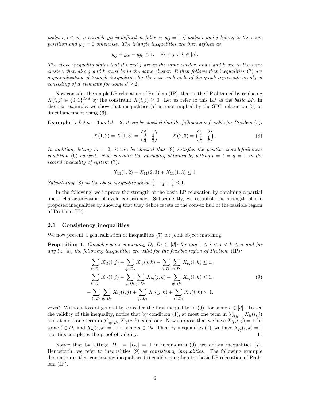nodes  $i, j \in [n]$  a variable  $y_{ij}$  is defined as follows:  $y_{ij} = 1$  if nodes i and j belong to the same partition and  $y_{ij} = 0$  otherwise. The triangle inequalities are then defined as

$$
y_{ij} + y_{ik} - y_{jk} \le 1, \quad \forall i \ne j \ne k \in [n].
$$

The above inequality states that if i and j are in the same cluster, and i and  $k$  are in the same cluster, then also j and  $k$  must be in the same cluster. It then follows that inequalities (7) are a generalization of triangle inequalities for the case each node of the graph represents an object consisting of d elements for some  $d \geq 2$ .

Now consider the simple LP relaxation of Problem (IP), that is, the LP obtained by replacing  $X(i, j) \in \{0, 1\}^{d \times d}$  by the constraint  $X(i, j) \geq 0$ . Let us refer to this LP as the basic LP. In the next example, we show that inequalities (7) are not implied by the SDP relaxation (5) or its enhancement using (6).

**Example 1.** Let  $n = 3$  and  $d = 2$ ; it can be checked that the following is feasible for Problem (5):

$$
X(1,2) = X(1,3) = \begin{pmatrix} \frac{3}{4} & \frac{1}{4} \\ \frac{1}{4} & \frac{3}{4} \end{pmatrix}, \qquad X(2,3) = \begin{pmatrix} \frac{1}{4} & \frac{3}{4} \\ \frac{3}{4} & \frac{1}{4} \end{pmatrix}.
$$
 (8)

In addition, letting  $m = 2$ , it can be checked that (8) satisfies the positive semidefiniteness condition (6) as well. Now consider the inequality obtained by letting  $l = t = q = 1$  in the second inequality of system  $(7)$ :

$$
X_{11}(1,2) - X_{11}(2,3) + X_{11}(1,3) \le 1.
$$

Substituting (8) in the above inequality yields  $\frac{3}{4} - \frac{1}{4} + \frac{3}{4} \nleq 1$ .

In the following, we improve the strength of the basic LP relaxation by obtaining a partial linear characterization of cycle consistency. Subsequently, we establish the strength of the proposed inequalities by showing that they define facets of the convex hull of the feasible region of Problem (IP).

#### 2.1 Consistency inequalities

We now present a generalization of inequalities (7) for joint object matching.

**Proposition 1.** Consider some nonempty  $D_1, D_2 \subseteq [d]$ ; for any  $1 \le i \le j \le k \le n$  and for any  $l \in [d]$ , the following inequalities are valid for the feasible region of Problem (IP):

$$
\sum_{t \in D_1} X_{tl}(i,j) + \sum_{q \in D_2} X_{lq}(j,k) - \sum_{t \in D_1} \sum_{q \in D_2} X_{tq}(i,k) \le 1,
$$
\n
$$
\sum_{t \in D_1} X_{lt}(i,j) - \sum_{t \in D_1} \sum_{q \in D_2} X_{tq}(j,k) + \sum_{q \in D_2} X_{lq}(i,k) \le 1,
$$
\n
$$
-\sum_{t \in D_1} \sum_{q \in D_2} X_{tq}(i,j) + \sum_{q \in D_2} X_{ql}(j,k) + \sum_{t \in D_1} X_{tl}(i,k) \le 1.
$$
\n(9)

*Proof.* Without loss of generality, consider the first inequality in (9), for some  $l \in [d]$ . To see the validity of this inequality, notice that by condition (1), at most one term in  $\sum_{t\in D_1} X_{tl}(i, j)$ and at most one term in  $\sum_{q \in D_2} X_{lq}(j, k)$  equal one. Now suppose that we have  $X_{\hat{t}l}(\vec{i}, \vec{j}) = 1$  for some  $\hat{t} \in D_1$  and  $X_{l\hat{q}}(j,k) = 1$  for some  $\hat{q} \in D_2$ . Then by inequalities (7), we have  $X_{\hat{t}\hat{q}}(i,k) = 1$ and this completes the proof of validity.  $\Box$ 

Notice that by letting  $|D_1| = |D_2| = 1$  in inequalities (9), we obtain inequalities (7). Henceforth, we refer to inequalities (9) as *consistency inequalities*. The following example demonstrates that consistency inequalities (9) could strengthen the basic LP relaxation of Prob $lem (IP).$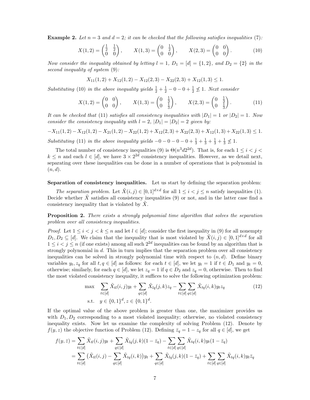**Example 2.** Let  $n = 3$  and  $d = 2$ ; it can be checked that the following satisfies inequalities (7):

$$
X(1,2) = \begin{pmatrix} \frac{1}{2} & \frac{1}{2} \\ 0 & 0 \end{pmatrix}, \qquad X(1,3) = \begin{pmatrix} 0 & \frac{1}{2} \\ 0 & 0 \end{pmatrix}, \qquad X(2,3) = \begin{pmatrix} 0 & 0 \\ 0 & 0 \end{pmatrix}.
$$
 (10)

Now consider the inequality obtained by letting  $l = 1, D_1 = [d] = \{1, 2\},$  and  $D_2 = \{2\}$  in the second inequality of system  $(9)$ :

$$
X_{11}(1,2) + X_{12}(1,2) - X_{12}(2,3) - X_{22}(2,3) + X_{12}(1,3) \le 1.
$$

Substituting (10) in the above inequality yields  $\frac{1}{2} + \frac{1}{2} - 0 - 0 + \frac{1}{2} \nleq 1$ . Next consider

$$
X(1,2) = \begin{pmatrix} 0 & 0 \\ 0 & 0 \end{pmatrix}, \qquad X(1,3) = \begin{pmatrix} 0 & \frac{1}{3} \\ 0 & \frac{1}{3} \end{pmatrix}, \qquad X(2,3) = \begin{pmatrix} 0 & \frac{1}{3} \\ 0 & \frac{1}{3} \end{pmatrix}.
$$
 (11)

It can be checked that (11) satisfies all consistency inequalities with  $|D_1| = 1$  or  $|D_2| = 1$ . Now consider the consistency inequality with  $l = 2$ ,  $|D_1| = |D_2| = 2$  given by:

$$
-X_{11}(1,2) - X_{12}(1,2) - X_{21}(1,2) - X_{22}(1,2) + X_{12}(2,3) + X_{22}(2,3) + X_{12}(1,3) + X_{22}(1,3) \le 1.
$$

Substituting (11) in the above inequality yields  $-0 - 0 - 0 - 0 + \frac{1}{3} + \frac{1}{3} + \frac{1}{3} + \frac{1}{3} \nleq 1$ .

The total number of consistency inequalities (9) is  $\Theta(n^3d2^{2d})$ . That is, for each  $1 \leq i < j <$  $k \leq n$  and each  $l \in [d]$ , we have  $3 \times 2^{2d}$  consistency inequalities. However, as we detail next, separating over these inequalities can be done in a number of operations that is polynomial in  $(n, d)$ .

#### Separation of consistency inequalities. Let us start by defining the separation problem:

The separation problem. Let  $\tilde{X}(i, j) \in [0, 1]^{d \times d}$  for all  $1 \leq i < j \leq n$  satisfy inequalities (1). Decide whether  $\ddot{X}$  satisfies all consistency inequalities (9) or not, and in the latter case find a consistency inequality that is violated by  $X$ .

**Proposition 2.** There exists a strongly polynomial time algorithm that solves the separation problem over all consistency inequalities.

*Proof.* Let  $1 \leq i < j < k \leq n$  and let  $l \in [d]$ ; consider the first inequality in (9) for all nonempty  $D_1, D_2 \subseteq [d]$ . We claim that the inequality that is most violated by  $\tilde{X}(i, j) \in [0, 1]^{d \times d}$  for all  $1 \leq i < j \leq n$  (if one exists) among all such  $2^{2d}$  inequalities can be found by an algorithm that is strongly polynomial in d. This in turn implies that the separation problem over all consistency inequalities can be solved in strongly polynomial time with respect to  $(n, d)$ . Define binary variables  $y_t, z_q$  for all  $t, q \in [d]$  as follows: for each  $t \in [d]$ , we let  $y_t = 1$  if  $t \in D_1$  and  $y_t = 0$ , otherwise; similarly, for each  $q \in [d]$ , we let  $z_q = 1$  if  $q \in D_2$  and  $z_q = 0$ , otherwise. Then to find the most violated consistency inequality, it suffices to solve the following optimization problem:

$$
\max \sum_{t \in [d]} \tilde{X}_{tl}(i,j)y_t + \sum_{q \in [d]} \tilde{X}_{lq}(j,k)z_q - \sum_{t \in [d]} \sum_{q \in [d]} \tilde{X}_{tq}(i,k)y_t z_q
$$
\n
$$
\text{s.t.} \quad y \in \{0,1\}^d, z \in \{0,1\}^d.
$$
\n
$$
(12)
$$

If the optimal value of the above problem is greater than one, the maximizer provides us with  $D_1, D_2$  corresponding to a most violated inequality; otherwise, no violated consistency inequality exists. Now let us examine the complexity of solving Problem (12). Denote by  $f(y, z)$  the objective function of Problem (12). Defining  $\overline{z}_q = 1 - z_q$  for all  $q \in [d]$ , we get

$$
f(y, \bar{z}) = \sum_{t \in [d]} \tilde{X}_{tl}(i, j)y_t + \sum_{q \in [d]} \tilde{X}_{lq}(j, k)(1 - \bar{z}_q) - \sum_{t \in [d]} \sum_{q \in [d]} \tilde{X}_{tq}(i, k)y_t(1 - \bar{z}_q)
$$
  
= 
$$
\sum_{t \in [d]} (\tilde{X}_{tl}(i, j) - \sum_{q \in [d]} \tilde{X}_{tq}(i, k))y_t + \sum_{q \in [d]} \tilde{X}_{lq}(j, k)(1 - \bar{z}_q) + \sum_{t \in [d]} \sum_{q \in [d]} \tilde{X}_{tq}(i, k)y_t \bar{z}_q
$$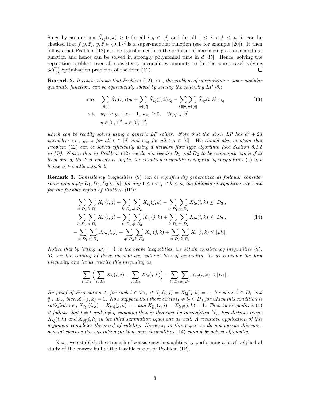Since by assumption  $\tilde{X}_{tq}(i,k) \geq 0$  for all  $t, q \in [d]$  and for all  $1 \leq i \leq k \leq n$ , it can be checked that  $f(y, \bar{z})$ ,  $y, \bar{z} \in \{0, 1\}^d$  is a super-modular function (see for example [20]). It then follows that Problem (12) can be transformed into the problem of maximizing a super-modular function and hence can be solved in strongly polynomial time in  $d$  [35]. Hence, solving the separation problem over all consistency inequalities amounts to (in the worst case) solving  $3d\binom{n}{3}$  optimization problems of the form (12). П

**Remark 2.** It can be shown that Problem  $(12)$ , i.e., the problem of maximizing a super-modular quadratic function, can be equivalently solved by solving the following  $LP$  [5]:

$$
\max \sum_{t \in [d]} \tilde{X}_{tl}(i,j)y_t + \sum_{q \in [d]} \tilde{X}_{lq}(j,k)z_q - \sum_{t \in [d]} \sum_{q \in [d]} \tilde{X}_{tq}(i,k)w_{tq}
$$
\n
$$
\text{s.t.} \quad w_{tq} \ge y_t + z_q - 1, \ w_{tq} \ge 0, \quad \forall t, q \in [d]
$$
\n
$$
y \in [0,1]^d, z \in [0,1]^d,
$$
\n
$$
(13)
$$

which can be readily solved using a generic LP solver. Note that the above LP has  $d^2 + 2d$ variables, i.e.,  $y_t, z_t$  for all  $t \in [d]$  and  $w_{tq}$  for all  $t, q \in [d]$ . We should also mention that Problem  $(12)$  can be solved efficiently using a network flow type algorithm (see Section 5.1.5) in [5]). Notice that in Problem (12) we do not require  $D_1$  and  $D_2$  to be nonempty, since if at least one of the two subsets is empty, the resulting inequality is implied by inequalities (1) and hence is trivially satisfied.

**Remark 3.** Consistency inequalities (9) can be significantly generalized as follows: consider some nonempty  $D_1, D_2, D_3 \subseteq [d]$ ; for any  $1 \leq i < j < k \leq n$ , the following inequalities are valid for the feasible region of Problem (IP):

$$
\sum_{t \in D_1} \sum_{l \in D_3} X_{tl}(i,j) + \sum_{l \in D_3} \sum_{q \in D_2} X_{lq}(j,k) - \sum_{t \in D_1} \sum_{q \in D_2} X_{tq}(i,k) \le |D_3|,
$$
\n
$$
\sum_{l \in D_3} \sum_{t \in D_1} X_{lt}(i,j) - \sum_{t \in D_1} \sum_{q \in D_2} X_{tq}(j,k) + \sum_{l \in D_3} \sum_{q \in D_2} X_{lq}(i,k) \le |D_3|,
$$
\n
$$
-\sum_{t \in D_1} \sum_{q \in D_2} X_{tq}(i,j) + \sum_{q \in D_2} \sum_{l \in D_3} X_{ql}(j,k) + \sum_{t \in D_1} \sum_{l \in D_3} X_{tl}(i,k) \le |D_3|.
$$
\n(14)

Notice that by letting  $|D_3| = 1$  in the above inequalities, we obtain consistency inequalities (9). To see the validity of these inequalities, without loss of generality, let us consider the first inequality and let us rewrite this inequality as

$$
\sum_{l \in D_3} \Big( \sum_{t \in D_1} X_{tl}(i,j) + \sum_{q \in D_2} X_{lq}(j,k) \Big) - \sum_{t \in D_1} \sum_{q \in D_2} X_{tq}(i,k) \le |D_3|.
$$

By proof of Proposition 1, for each  $l \in \mathcal{D}_3$ , if  $X_{\hat{t}l}(i,j) = X_{l\hat{q}}(j,k) = 1$ , for some  $\hat{t} \in D_1$  and  $\hat{q} \in D_2$ , then  $X_{\hat{t}\hat{q}}(i,k)=1$ . Now suppose that there exists  $l_1\neq l_2 \in D_3$  for which this condition is satisfied; i.e.,  $X_{\hat{t}l_1}(i,j) = X_{l_1\hat{q}}(j,k) = 1$  and  $X_{\tilde{t}l_2}(i,j) = X_{l_2\tilde{q}}(j,k) = 1$ . Then by inequalities (1) it follows that  $\hat{t} \neq \tilde{t}$  and  $\hat{q} \neq \tilde{q}$  implying that in this case by inequalities (7), two distinct terms  $X_{\hat{t}\hat{q}}(i,k)$  and  $X_{\tilde{t}\tilde{q}}(i,k)$  in the third summation equal one as well. A recursive application of this argument completes the proof of validity. However, in this paper we do not pursue this more general class as the separation problem over inequalities (14) cannot be solved efficiently.

Next, we establish the strength of consistency inequalities by performing a brief polyhedral study of the convex hull of the feasible region of Problem (IP).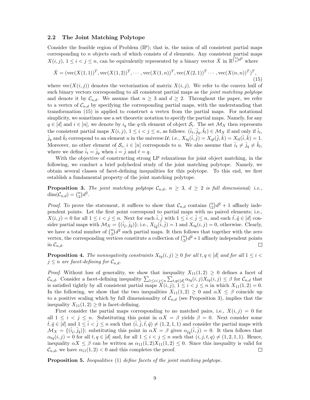#### 2.2 The Joint Matching Polytope

Consider the feasible region of Problem (IP); that is, the union of all consistent partial maps corresponding to  $n$  objects each of which consists of  $d$  elements. Any consistent partial maps  $X(i, j), 1 \leq i < j \leq n$ , can be equivalently represented by a binary vector  $\overline{X}$  in  $\mathbb{R}^{\binom{n}{2}d^2}$  where

$$
\bar{X} = (\text{vec}(X(1,1))^T, \text{vec}(X(1,2))^T, \cdots, \text{vec}(X(1,n))^T, \text{vec}(X(2,1))^T \cdots, \text{vec}(X(n,n))^T)^T,
$$
\n(15)

where  $vec(X(i, j))$  denotes the vectorization of matrix  $X(i, j)$ . We refer to the convex hull of such binary vectors corresponding to all consistent partial maps as the *joint matching polytope* and denote it by  $\mathcal{C}_{n,d}$ . We assume that  $n \geq 3$  and  $d \geq 2$ . Throughout the paper, we refer to a vertex of  $\mathcal{C}_{n,d}$  by specifying the corresponding partial maps, with the understanding that transformation (15) is applied to construct a vertex from the partial maps. For notational simplicity, we sometimes use a set theoretic notation to specify the partial maps. Namely, for any  $q \in [d]$  and  $i \in [n]$ , we denote by  $i_q$  the q-th element of object  $S_i$ . The set  $\mathcal{M}_X$  then represents the consistent partial maps  $X(i, j)$ ,  $1 \leq i < j \leq n$ , as follows:  $(\hat{i}_t, \hat{j}_q, \hat{k}_l) \in \mathcal{M}_X$  if and only if  $\hat{i}_t$ ,  $\hat{j}_q$  and  $\hat{k}_l$  correspond to an element u in the universe  $\mathcal{U}$ ; i.e.,  $X_{tq}(\hat{i}, \hat{j}) = X_{ql}(\hat{j}, \hat{k}) = X_{tl}(\hat{i}, \hat{k}) = 1$ . Moreover, no other element of  $S_i$ ,  $i \in [n]$  corresponds to u. We also assume that  $\hat{i}_t \neq \hat{j}_q \neq \hat{k}_l$ , where we define  $\hat{i}_t = \hat{j}_q$  when  $\hat{i} = \hat{j}$  and  $t = q$ .

With the objective of constructing strong LP relaxations for joint object matching, in the following, we conduct a brief polyhedral study of the joint matching polytope. Namely, we obtain several classes of facet-defining inequalities for this polytope. To this end, we first establish a fundamental property of the joint matching polytope.

**Proposition 3.** The joint matching polytope  $\mathcal{C}_{n,d}$ ,  $n \geq 3$ ,  $d \geq 2$  is full dimensional; i.e.,  $\dim(\mathcal{C}_{n,d}) = \binom{n}{2}d^2.$ 

*Proof.* To prove the statement, it suffices to show that  $\mathcal{C}_{n,d}$  contains  $\binom{n}{2}d^2 + 1$  affinely independent points. Let the first point correspond to partial maps with no paired elements; i.e.,  $X(i, j) = 0$  for all  $1 \leq i < j \leq n$ . Next for each  $\hat{i}, \hat{j}$  with  $1 \leq \hat{i} < \hat{j} \leq n$ , and each  $\hat{t}, \hat{q} \in [d]$  consider partial maps with  $\mathcal{M}_X = \{(\hat{i}_t, \hat{j}_q)\};$  i.e.,  $X_{\hat{t}\hat{q}}(\hat{i}, \hat{j}) = 1$  and  $X_{tq}(i, j) = 0$ , otherwise. Clearly, we have a total number of  $\binom{n}{2}d^2$  such partial maps. It then follows that together with the zero vertex, the corresponding vertices constitute a collection of  $\binom{n}{2}d^2+1$  affinely independent points in  $\mathcal{C}_{n,d}$ . □

**Proposition 4.** The nonnegativity constraints  $X_{tq}(i, j) \geq 0$  for all  $t, q \in [d]$  and for all  $1 \leq i <$  $j \leq n$  are facet-defining for  $\mathcal{C}_{n,d}$ .

*Proof.* Without loss of generality, we show that inequality  $X_{11}(1,2) \geq 0$  defines a facet of  $\mathcal{C}_{n,d}$ . Consider a facet-defining inequality  $\sum_{1 \leq i < j \leq n} \sum_{t,q \in [d]} \alpha_{tq}(i,j) X_{tq}(i,j) \leq \beta$  for  $\mathcal{C}_{n,d}$  that is satisfied tightly by all consistent partial maps  $X(i, j)$ ,  $1 \leq i < j \leq n$  in which  $X_{11}(1, 2) = 0$ . In the following, we show that the two inequalities  $X_{11}(1, 2) \geq 0$  and  $\alpha X \leq \beta$  coincide up to a positive scaling which by full dimensionality of  $\mathcal{C}_{n,d}$  (see Proposition 3), implies that the inequality  $X_{11}(1,2) \geq 0$  is facet-defining.

First consider the partial maps corresponding to no matched pairs, i.e.,  $X(i, j) = 0$  for all  $1 \leq i \leq j \leq n$ . Substituting this point in  $\alpha X = \beta$  yields  $\beta = 0$ . Next consider some  $t, \hat{q} \in [d]$  and  $1 \leq i < j \leq n$  such that  $(i, j, \hat{t}, \hat{q}) \neq (1, 2, 1, 1)$  and consider the partial maps with  $\mathcal{M}_X = \{(\hat{i}_t, \hat{j}_\hat{q})\};$  substituting this point in  $\alpha X = \beta$  gives  $\alpha_{\hat{t}\hat{q}}(\hat{i}, \hat{j}) = 0$ . It then follows that  $\alpha_{tq}(i,j) = 0$  for all  $t, q \in [d]$  and, for all  $1 \leq i < j \leq n$  such that  $(i, j, t, q) \neq (1, 2, 1, 1)$ . Hence, inequality  $\alpha X \leq \beta$  can be written as  $\alpha_{11}(1,2)X_{11}(1,2) \leq 0$ . Since this inequality is valid for  $\mathcal{C}_{n,d}$ , we have  $\alpha_{11}(1,2) < 0$  and this completes the proof.  $\mathcal{C}_{n,d}$ , we have  $\alpha_{11}(1,2) < 0$  and this completes the proof.

Proposition 5. Inequalities (1) define facets of the joint matching polytope.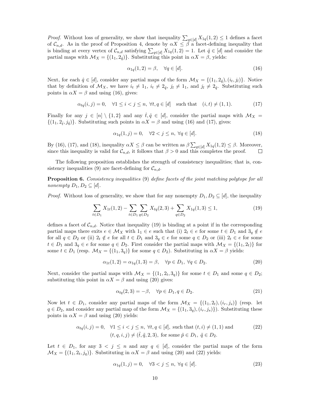*Proof.* Without loss of generality, we show that inequality  $\sum_{q \in [d]} X_{1q}(1, 2) \leq 1$  defines a facet of  $\mathcal{C}_{n,d}$ . As in the proof of Proposition 4, denote by  $\alpha X \leq \beta$  a facet-defining inequality that is binding at every vertex of  $\mathcal{C}_{n,d}$  satisfying  $\sum_{q \in [d]} X_{1q}(1, 2) = 1$ . Let  $\hat{q} \in [d]$  and consider the partial maps with  $\mathcal{M}_X = \{(1_1, 2_{\hat{q}})\}\.$  Substituting this point in  $\alpha X = \beta$ , yields:

$$
\alpha_{1q}(1,2) = \beta, \quad \forall q \in [d]. \tag{16}
$$

Next, for each  $\hat{q} \in [d]$ , consider any partial maps of the form  $\mathcal{M}_X = \{(1_1, 2_{\hat{q}}), (i_t, j_t)\}\.$  Notice that by definition of  $\mathcal{M}_X$ , we have  $i_t \neq 1_1$ ,  $i_t \neq 2_{\hat{q}}$ ,  $j_l \neq 1_1$ , and  $j_l \neq 2_{\hat{q}}$ . Substituting such points in  $\alpha X = \beta$  and using (16), gives:

$$
\alpha_{tq}(i,j) = 0, \quad \forall 1 \le i < j \le n, \ \forall t, q \in [d] \quad \text{such that} \quad (i,t) \ne (1,1). \tag{17}
$$

Finally for any  $j \in [n] \setminus \{1,2\}$  and any  $\hat{t}, \hat{q} \in [d]$ , consider the partial maps with  $\mathcal{M}_X =$  $\{(1_1, 2_i, j_{\hat{q}})\}\.$  Substituting such points in  $\alpha X = \beta$  and using (16) and (17), gives:

$$
\alpha_{1q}(1,j) = 0, \quad \forall 2 < j \le n, \ \forall q \in [d]. \tag{18}
$$

By (16), (17), and (18), inequality  $\alpha X \leq \beta$  can be written as  $\beta \sum_{q \in [d]} X_{1q}(1, 2) \leq \beta$ . Moreover, since this inequality is valid for  $\mathcal{C}_{n,d}$ , it follows that  $\beta > 0$  and this completes the proof.

The following proposition establishes the strength of consistency inequalities; that is, consistency inequalities (9) are facet-defining for  $\mathcal{C}_{n,d}$ .

Proposition 6. Consistency inequalities (9) define facets of the joint matching polytope for all nonempty  $D_1, D_2 \subseteq [d]$ .

*Proof.* Without loss of generality, we show that for any nonempty  $D_1, D_2 \subseteq [d]$ , the inequality

$$
\sum_{t \in D_1} X_{1t}(1,2) - \sum_{t \in D_1} \sum_{q \in D_2} X_{tq}(2,3) + \sum_{q \in D_2} X_{1q}(1,3) \le 1,\tag{19}
$$

defines a facet of  $C_{n,d}$ . Notice that inequality (19) is binding at a point if in the corresponding partial maps there exits  $e \in \mathcal{M}_X$  with  $1_1 \in e$  such that (i)  $2_t \in e$  for some  $t \in D_1$  and  $3_q \notin e$ for all  $q \in D_2$  or (ii)  $2_t \notin e$  for all  $t \in D_1$  and  $3_q \in e$  for some  $q \in D_2$  or (iii)  $2_t \in e$  for some  $t \in D_1$  and  $3_q \in e$  for some  $q \in D_2$ . First consider the partial maps with  $\mathcal{M}_X = \{(1_1, 2_t)\}\)$  for some  $t \in D_1$  (resp.  $\mathcal{M}_X = \{(1_1, 3_q)\}\$ for some  $q \in D_2$ ). Substituting in  $\alpha X = \beta$  yields:

$$
\alpha_{1t}(1,2) = \alpha_{1q}(1,3) = \beta, \quad \forall p \in D_1, \ \forall q \in D_2.
$$
 (20)

Next, consider the partial maps with  $\mathcal{M}_X = \{(1_1, 2_t, 3_q)\}\$ for some  $t \in D_1$  and some  $q \in D_2$ ; substituting this point in  $\alpha X = \beta$  and using (20) gives:

$$
\alpha_{tq}(2,3) = -\beta, \quad \forall p \in D_1, q \in D_2. \tag{21}
$$

Now let  $t \in D_1$ , consider any partial maps of the form  $\mathcal{M}_X = \{(1_1, 2_t), (i_r, j_s)\}\$  (resp. let  $q \in D_2$ , and consider any partial map of the form  $\mathcal{M}_X = \{(1_1, 3_q), (i_r, j_s)\}\)$ . Substituting these points in  $\alpha X = \beta$  and using (20) yields:

$$
\alpha_{tq}(i,j) = 0, \quad \forall 1 \le i < j \le n, \ \forall t, q \in [d], \text{ such that } (t,i) \neq (1,1) \text{ and } (t,q,i,j) \neq (\tilde{t}, \tilde{q}, 2, 3), \text{ for some } \tilde{p} \in D_1, \ \tilde{q} \in D_2.
$$
\n
$$
(22)
$$

Let  $t \in D_1$ , for any  $3 < j \leq n$  and any  $q \in [d]$ , consider the partial maps of the form  $\mathcal{M}_X = \{(1_1, 2_t, j_q)\}\.$  Substituting in  $\alpha X = \beta$  and using (20) and (22) yields:

$$
\alpha_{1q}(1,j) = 0, \quad \forall 3 < j \le n, \ \forall q \in [d]. \tag{23}
$$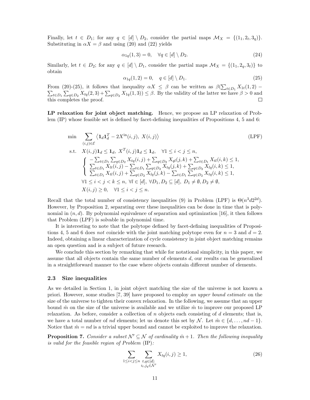Finally, let  $t \in D_1$ ; for any  $q \in [d] \setminus D_2$ , consider the partial maps  $\mathcal{M}_X = \{(1_1, 2_t, 3_q)\}.$ Substituting in  $\alpha X = \beta$  and using (20) and (22) yields

$$
\alpha_{1q}(1,3) = 0, \quad \forall q \in [d] \setminus D_2. \tag{24}
$$

Similarly, let  $t \in D_2$ ; for any  $q \in [d] \setminus D_1$ , consider the partial maps  $\mathcal{M}_X = \{(1_1, 2_q, 3_t)\}\)$ obtain

$$
\alpha_{1q}(1,2) = 0, \quad q \in [d] \setminus D_1. \tag{25}
$$

From (20)-(25), it follows that inequality  $\alpha X \leq \beta$  can be written as  $\beta(\sum$ From (20)-(25), it follows that inequality  $\alpha X \leq \beta$  can be written as  $\beta(\sum_{t\in D_1} X_{1t}(1, 2) - \sum_{t\in D_1} X_{1t}(2, 3) + \sum_{t\in D_1} X_{1t}(1, 3)) < \beta$ . By the validity of the latter we have  $\beta > 0$  and  $\sum_{t\in D_1}\sum_{q\in D_2}X_{tq}(2,3)+\sum_{q\in D_2}X_{1q}(1,3)\leq\beta.$  By the validity of the latter we have  $\beta>0$  and this completes the proof.

LP relaxation for joint object matching. Hence, we propose an LP relaxation of Problem (IP) whose feasible set is defined by facet-defining inequalities of Propositions 4, 5 and 6:

$$
\min \sum_{(i,j)\in\mathcal{E}} \langle \mathbf{1}_d \mathbf{1}_d^T - 2X^{\text{in}}(i,j), X(i,j) \rangle \tag{LPF}
$$
\n
$$
\text{s.t.} \quad X(i,j) \mathbf{1}_d \leq \mathbf{1}_d, \quad X^T(i,j) \mathbf{1}_d \leq \mathbf{1}_d, \quad \forall 1 \leq i < j \leq n,
$$
\n
$$
\begin{cases}\n-\sum_{t \in D_1} \sum_{q \in D_2} X_{tq}(i,j) + \sum_{q \in D_2} X_{q}(j,k) + \sum_{t \in D_1} X_{tl}(i,k) \leq 1, \\
\sum_{t \in D_1} X_{lt}(i,j) - \sum_{t \in D_1} \sum_{q \in D_2} X_{tq}(j,k) + \sum_{q \in D_2} X_{lq}(i,k) \leq 1, \\
\sum_{t \in D_1} X_{tl}(i,j) + \sum_{q \in D_2} X_{lq}(j,k) - \sum_{t \in D_1} \sum_{q \in D_2} X_{tq}(i,k) \leq 1, \\
\forall 1 \leq i < j < k \leq n, \ \forall l \in [d], \ \forall D_1, D_2 \subseteq [d], \ D_1 \neq \emptyset, D_2 \neq \emptyset, \\
X(i,j) \geq 0, \quad \forall 1 \leq i < j \leq n.\n\end{cases}
$$
\n
$$
(LPF)
$$
\n
$$
(LPF)
$$

Recall that the total number of consistency inequalities (9) in Problem (LPF) is  $\Theta(n^3d2^{2d})$ . However, by Proposition 2, separating over these inequalities can be done in time that is polynomial in  $(n, d)$ . By polynomial equivalence of separation and optimization [16], it then follows that Problem (LPF) is solvable in polynomial time.

It is interesting to note that the polytope defined by facet-defining inequalities of Propositions 4, 5 and 6 does not coincide with the joint matching polytope even for  $n = 3$  and  $d = 2$ . Indeed, obtaining a linear characterization of cycle consistency in joint object matching remains an open question and is a subject of future research.

We conclude this section by remarking that while for notational simplicity, in this paper, we assume that all objects contain the same number of elements  $d$ , our results can be generalized in a straightforward manner to the case where objects contain different number of elements.

#### 2.3 Size inequalities

As we detailed in Section 1, in joint object matching the size of the universe is not known a priori. However, some studies [7, 39] have proposed to employ an upper bound estimate on the size of the universe to tighten their convex relaxation. In the following, we assume that an upper bound  $\hat{m}$  on the size of the universe is available and we utilize  $\hat{m}$  to improve our proposed LP relaxation. As before, consider a collection of  $n$  objects each consisting of  $d$  elements; that is, we have a total number of nd elements; let us denote this set by N. Let  $\hat{m} \in \{d, ..., nd-1\}$ . Notice that  $\hat{m} = nd$  is a trivial upper bound and cannot be exploited to improve the relaxation.

**Proposition 7.** Consider a subset  $\mathcal{N}' \subseteq \mathcal{N}$  of cardinality  $\hat{m} + 1$ . Then the following inequality is valid for the feasible region of Problem (IP):

$$
\sum_{1 \le i < j \le n} \sum_{\substack{t, q \in [d]: \\ i_t, j_q \in \mathcal{N}'}} X_{tq}(i, j) \ge 1,\tag{26}
$$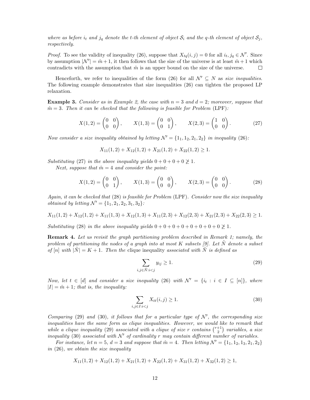where as before  $i_t$  and  $j_q$  denote the t-th element of object  $S_i$  and the q-th element of object  $S_j$ , respectively.

*Proof.* To see the validity of inequality (26), suppose that  $X_{tq}(i, j) = 0$  for all  $i_t, j_q \in \mathcal{N}'$ . Since by assumption  $|\mathcal{N}'| = \hat{m} + 1$ , it then follows that the size of the universe is at least  $\hat{m} + 1$  which contradicts with the assumption that  $\hat{m}$  is an upper bound on the size of the universe.

Henceforth, we refer to inequalities of the form (26) for all  $\mathcal{N}' \subseteq \mathcal{N}$  as size inequalities. The following example demonstrates that size inequalities (26) can tighten the proposed LP relaxation.

**Example 3.** Consider as in Example 2, the case with  $n = 3$  and  $d = 2$ ; moreover, suppose that  $\hat{m} = 3$ . Then it can be checked that the following is feasible for Problem (LPF):

$$
X(1,2) = \begin{pmatrix} 0 & 0 \\ 0 & 0 \end{pmatrix}, \qquad X(1,3) = \begin{pmatrix} 0 & 0 \\ 0 & 1 \end{pmatrix}, \qquad X(2,3) = \begin{pmatrix} 1 & 0 \\ 0 & 0 \end{pmatrix}.
$$
 (27)

Now consider a size inequality obtained by letting  $\mathcal{N}' = \{1_1, 1_2, 2_1, 2_2\}$  in inequality (26):

$$
X_{11}(1,2) + X_{12}(1,2) + X_{21}(1,2) + X_{22}(1,2) \ge 1.
$$

Substituting (27) in the above inequality yields  $0 + 0 + 0 + 0 \ngeq 1$ .

Next, suppose that  $\hat{m} = 4$  and consider the point:

$$
X(1,2) = \begin{pmatrix} 0 & 0 \\ 0 & 1 \end{pmatrix}, \qquad X(1,3) = \begin{pmatrix} 0 & 0 \\ 0 & 0 \end{pmatrix}, \qquad X(2,3) = \begin{pmatrix} 0 & 0 \\ 0 & 0 \end{pmatrix}.
$$
 (28)

Again, it can be checked that (28) is feasible for Problem (LPF). Consider now the size inequality *obtained by letting*  $\mathcal{N}' = \{1_1, 2_1, 2_2, 3_1, 3_2\}$ :

$$
X_{11}(1,2) + X_{12}(1,2) + X_{11}(1,3) + X_{12}(1,3) + X_{11}(2,3) + X_{12}(2,3) + X_{21}(2,3) + X_{22}(2,3) \ge 1.
$$

Substituting (28) in the above inequality yields  $0+0+0+0+0+0+0+0+0 \ngeq 1$ .

Remark 4. Let us revisit the graph partitioning problem described in Remark 1; namely, the problem of partitioning the nodes of a graph into at most  $K$  subsets [9]. Let  $N$  denote a subset of [n] with  $|\tilde{N}| = K + 1$ . Then the clique inequality associated with  $\tilde{N}$  is defined as

$$
\sum_{i,j \in \tilde{N}: i < j} y_{ij} \ge 1. \tag{29}
$$

Now, let  $t \in [d]$  and consider a size inequality (26) with  $\mathcal{N}' = \{i_t : i \in I \subseteq [n]\},\$  where  $|I| = \hat{m} + 1$ ; that is, the inequality:

$$
\sum_{i,j\in I:i\n(30)
$$

Comparing (29) and (30), it follows that for a particular type of  $\mathcal{N}'$ , the corresponding size inequalities have the same form as clique inequalities. However, we would like to remark that while a clique inequality (29) associated with a clique of size r contains  $\binom{r+1}{2}$  $\binom{+1}{2}$  variables, a size inequality (30) associated with  $\mathcal{N}'$  of cardinality r may contain different number of variables.

For instance, let  $n = 5$ ,  $d = 3$  and suppose that  $\hat{m} = 4$ . Then letting  $\mathcal{N}' = \{1_1, 1_2, 1_3, 2_1, 2_2\}$ in (26), we obtain the size inequality

$$
X_{11}(1,2) + X_{12}(1,2) + X_{21}(1,2) + X_{22}(1,2) + X_{31}(1,2) + X_{32}(1,2) \ge 1,
$$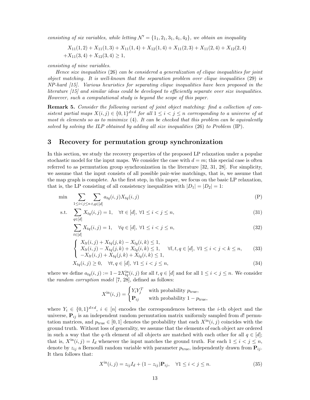consisting of six variables, while letting  $\mathcal{N}' = \{1_1, 2_1, 3_1, 4_1, 4_2\}$ , we obtain an inequality

$$
X_{11}(1,2) + X_{11}(1,3) + X_{11}(1,4) + X_{12}(1,4) + X_{11}(2,3) + X_{11}(2,4) + X_{12}(2,4) + X_{11}(3,4) + X_{12}(3,4) \ge 1,
$$

consisting of nine variables.

Hence size inequalities (26) can be considered a generalization of clique inequalities for joint object matching. It is well-known that the separation problem over clique inequalities (29) is NP-hard [15]. Various heuristics for separating clique inequalities have been proposed in the literature [15] and similar ideas could be developed to efficiently separate over size inequalities. However, such a computational study is beyond the scope of this paper.

**Remark 5.** Consider the following variant of joint object matching: find a collection of consistent partial maps  $X(i, j) \in \{0, 1\}^{d \times d}$  for all  $1 \leq i < j \leq n$  corresponding to a universe of at most  $\hat{m}$  elements so as to minimize (4). It can be checked that this problem can be equivalently solved by solving the ILP obtained by adding all size inequalities  $(26)$  to Problem  $(IP)$ .

## 3 Recovery for permutation group synchronization

In this section, we study the recovery properties of the proposed LP relaxation under a popular stochastic model for the input maps. We consider the case with  $d = m$ ; this special case is often referred to as permutation group synchronization in the literature [32, 31, 28]. For simplicity, we assume that the input consists of all possible pair-wise matchings, that is, we assume that the map graph is complete. As the first step, in this paper, we focus on the basic LP relaxation, that is, the LP consisting of all consistency inequalities with  $|D_1| = |D_2| = 1$ :

$$
\min \sum_{1 \le i < j \le n} \sum_{t, q \in [d]} a_{tq}(i, j) X_{tq}(i, j) \tag{P}
$$

s.t. 
$$
\sum_{q \in [d]} X_{tq}(i,j) = 1, \quad \forall t \in [d], \ \forall 1 \le i < j \le n,
$$
\n(31)

$$
\sum_{t \in [d]} X_{tq}(i,j) = 1, \quad \forall q \in [d], \ \forall 1 \le i < j \le n,\tag{32}
$$

$$
\begin{cases}\nX_{lt}(i,j) + X_{tq}(j,k) - X_{lq}(i,k) \le 1, \\
X_{lt}(i,j) - X_{tq}(j,k) + X_{lq}(i,k) \le 1, \\
-X_{lt}(i,j) + X_{tq}(j,k) + X_{lq}(i,k) \le 1,\n\end{cases} \quad \forall l, t, q \in [d], \forall 1 \le i < j < k \le n,
$$
\n(33)

$$
X_{tq}(i,j) \ge 0, \quad \forall t, q \in [d], \ \forall 1 \le i < j \le n,\tag{34}
$$

where we define  $a_{tq}(i, j) := 1 - 2X_{tq}^{\text{in}}(i, j)$  for all  $t, q \in [d]$  and for all  $1 \leq i < j \leq n$ . We consider the random corruption model [7, 28], defined as follows:

$$
X^{\text{in}}(i,j) = \begin{cases} Y_i Y_j^T & \text{with probability } p_{\text{true}}, \\ \mathbf{P}_{ij} & \text{with probability } 1 - p_{\text{true}}, \end{cases}
$$

where  $Y_i \in \{0,1\}^{d \times d}$ ,  $i \in [n]$  encodes the correspondences between the *i*-th object and the universe,  $P_{ij}$  is an independent random permutation matrix uniformly sampled from d! permutation matrices, and  $p_{true} \in [0, 1]$  denotes the probability that each  $X^{in}(i, j)$  coincides with the ground truth. Without loss of generality, we assume that the elements of each object are ordered in such a way that the q-th element of all objects are matched with each other for all  $q \in [d]$ ; that is,  $X^{\text{in}}(i, j) = I_d$  whenever the input matches the ground truth. For each  $1 \leq i < j \leq n$ , denote by  $z_{ii}$  a Bernoulli random variable with parameter  $p_{true}$ , independently drawn from  $\mathbf{P}_{ii}$ . It then follows that:

$$
X^{\text{in}}(i,j) = z_{ij}I_d + (1 - z_{ij})\mathbf{P}_{ij}, \quad \forall 1 \le i < j \le n.
$$
 (35)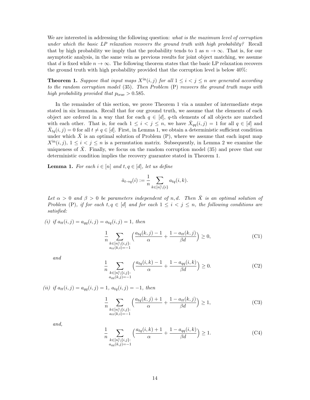We are interested in addressing the following question: what is the maximum level of corruption under which the basic LP relaxation recovers the ground truth with high probability? Recall that by high probability we imply that the probability tends to 1 as  $n \to \infty$ . That is, for our asymptotic analysis, in the same vein as previous results for joint object matching, we assume that d is fixed while  $n \to \infty$ . The following theorem states that the basic LP relaxation recovers the ground truth with high probability provided that the corruption level is below 40%:

**Theorem 1.** Suppose that input maps  $X^{\text{in}}(i, j)$  for all  $1 \leq i < j \leq n$  are generated according to the random corruption model (35). Then Problem (P) recovers the ground truth maps with high probability provided that  $p_{true} > 0.585$ .

In the remainder of this section, we prove Theorem 1 via a number of intermediate steps stated in six lemmata. Recall that for our ground truth, we assume that the elements of each object are ordered in a way that for each  $q \in [d]$ , q-th elements of all objects are matched with each other. That is, for each  $1 \leq i < j \leq n$ , we have  $\bar{X}_{qq}(i,j) = 1$  for all  $q \in [d]$  and  $\bar{X}_{tq}(i, j) = 0$  for all  $t \neq q \in [d]$ . First, in Lemma 1, we obtain a deterministic sufficient condition under which  $\bar{X}$  is an optimal solution of Problem (P), where we assume that each input map  $X^{\text{in}}(i, j)$ ,  $1 \leq i \leq j \leq n$  is a permutation matrix. Subsequently, in Lemma 2 we examine the uniqueness of  $\overline{X}$ . Finally, we focus on the random corruption model (35) and prove that our deterministic condition implies the recovery guarantee stated in Theorem 1.

**Lemma 1.** For each  $i \in [n]$  and  $t, q \in [d]$ , let us define

$$
\bar{a}_{t \to q}(i) := \frac{1}{n} \sum_{k \in [n] \setminus \{i\}} a_{tq}(i,k).
$$

Let  $\alpha > 0$  and  $\beta > 0$  be parameters independent of n,d. Then  $\bar{X}$  is an optimal solution of Problem (P), if for each  $t, q \in [d]$  and for each  $1 \leq i < j \leq n$ , the following conditions are satisfied:

(i) if  $a_{tt}(i, j) = a_{qq}(i, j) = a_{tq}(i, j) = 1$ , then

$$
\frac{1}{n} \sum_{\substack{k \in [n] \setminus \{i,j\}: \\ a_{tt}(k,i) = -1}} \left( \frac{a_{tq}(k,j) - 1}{\alpha} + \frac{1 - a_{tt}(k,j)}{\beta d} \right) \ge 0,
$$
\n(C1)

and

$$
\frac{1}{n} \sum_{\substack{k \in [n] \setminus \{i,j\}: \\ a_{qq}(k,j) = -1}} \left( \frac{a_{tq}(i,k) - 1}{\alpha} + \frac{1 - a_{qq}(i,k)}{\beta d} \right) \ge 0. \tag{C2}
$$

(ii) if  $a_{tt}(i, j) = a_{aa}(i, j) = 1$ ,  $a_{ta}(i, j) = -1$ , then

$$
\frac{1}{n} \sum_{\substack{k \in [n] \setminus \{i,j\}: \\ a_{tt}(k,i) = -1}} \left( \frac{a_{tq}(k,j) + 1}{\alpha} + \frac{1 - a_{tt}(k,j)}{\beta d} \right) \ge 1,\tag{C3}
$$

and,

$$
\frac{1}{n} \sum_{\substack{k \in [n] \setminus \{i,j\}: \\ a_{qq}(k,j) = -1}} \left( \frac{a_{tq}(i,k) + 1}{\alpha} + \frac{1 - a_{qq}(i,k)}{\beta d} \right) \ge 1. \tag{C4}
$$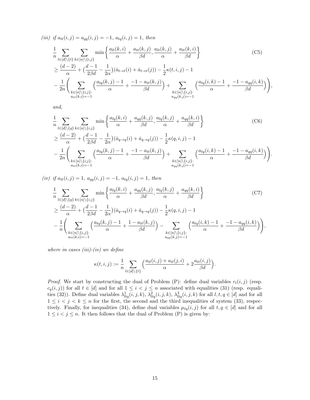(iii) if  $a_{tt}(i, j) = a_{qq}(i, j) = -1$ ,  $a_{tq}(i, j) = 1$ , then

$$
\frac{1}{n} \sum_{l \in [d] \setminus \{t\}} \sum_{k \in [n] \setminus \{i,j\}} \min \left\{ \frac{a_{lt}(k,i)}{\alpha} + \frac{a_{tt}(k,j)}{\beta d}, \frac{a_{lt}(k,j)}{\alpha} + \frac{a_{tt}(k,i)}{\beta d} \right\} \tag{C5}
$$
\n
$$
\geq \frac{(d-2)}{\alpha} + \left( \frac{d-1}{2\beta d} - \frac{1}{2\alpha} \right) (\bar{a}_{t \to t}(i) + \bar{a}_{t \to t}(j)) - \frac{1}{2} \kappa(t,i,j) - 1
$$
\n
$$
- \frac{1}{2n} \left( \sum_{\substack{k \in [n] \setminus \{i,j\}: \\ a_{tt}(k,i) = -1}} \left( \frac{a_{tq}(k,j) - 1}{\alpha} + \frac{-1 - a_{tt}(k,j)}{\beta d} \right) + \sum_{\substack{k \in [n] \setminus \{i,j\}: \\ a_{qq}(k,j) = -1}} \left( \frac{a_{tq}(i,k) - 1}{\alpha} + \frac{-1 - a_{qq}(i,k)}{\beta d} \right) \right),
$$

and,

$$
\frac{1}{n} \sum_{l \in [d] \setminus \{q\}} \sum_{k \in [n] \setminus \{i,j\}} \min \left\{ \frac{a_{lq}(k,i)}{\alpha} + \frac{a_{qq}(k,j)}{\beta d}, \frac{a_{lq}(k,j)}{\alpha} + \frac{a_{qq}(k,i)}{\beta d} \right\} \tag{C6}
$$
\n
$$
\geq \frac{(d-2)}{\alpha} + \left(\frac{d-1}{2\beta d} - \frac{1}{2\alpha}\right) (\bar{a}_{q \to q}(i) + \bar{a}_{q \to q}(j)) - \frac{1}{2}\kappa(q,i,j) - 1
$$
\n
$$
- \frac{1}{2n} \left( \sum_{\substack{k \in [n] \setminus \{i,j\}: \\ a_{tt}(k,i) = -1}} \left( \frac{a_{tq}(k,j) - 1}{\alpha} + \frac{-1 - a_{tt}(k,j)}{\beta d} \right) + \sum_{\substack{k \in [n] \setminus \{i,j\}: \\ a_{qq}(k,j) = -1}} \left( \frac{a_{tq}(i,k) - 1}{\alpha} + \frac{-1 - a_{qq}(i,k)}{\beta d} \right) \right).
$$

(iv) if  $a_{tt}(i, j) = 1$ ,  $a_{qq}(i, j) = -1$ ,  $a_{tq}(i, j) = 1$ , then

$$
\frac{1}{n} \sum_{l \in [d] \setminus \{q\}} \sum_{k \in [n] \setminus \{i,j\}} \min \left\{ \frac{a_{lq}(k,i)}{\alpha} + \frac{a_{qq}(k,j)}{\beta d}, \frac{a_{lq}(k,j)}{\alpha} + \frac{a_{qq}(k,i)}{\beta d} \right\} \tag{C7}
$$
\n
$$
\geq \frac{(d-2)}{\alpha} + \left(\frac{d-1}{2\beta d} - \frac{1}{2\alpha}\right) (\bar{a}_{q \to q}(i) + \bar{a}_{q \to q}(j)) - \frac{1}{2} \kappa(q, i, j) - 1
$$
\n
$$
- \frac{1}{n} \left( \sum_{\substack{k \in [n] \setminus \{i,j\}: \\ a_{tt}(k,i) = -1}} \left( \frac{a_{tq}(k,j) - 1}{\alpha} + \frac{1 - a_{tt}(k,j)}{\beta d} \right) - \sum_{\substack{k \in [n] \setminus \{i,j\}: \\ a_{qq}(k,j) = -1}} \left( \frac{a_{tq}(i,k) - 1}{\alpha} + \frac{-1 - a_{qq}(i,k)}{\beta d} \right) \right),
$$

where in cases  $(iii)-(iv)$  we define

$$
\kappa(t,i,j) := \frac{1}{n} \sum_{l \in [d] \setminus \{t\}} \Big( \frac{a_{tl}(i,j) + a_{tl}(j,i)}{\alpha} + 2 \frac{a_{tt}(i,j)}{\beta d} \Big).
$$

*Proof.* We start by constructing the dual of Problem (P): define dual variables  $r_t(i, j)$  (resp.  $c_q(i, j)$  for all  $t \in [d]$  and for all  $1 \leq i < j \leq n$  associated with equalities (31) (resp. equalities (32)). Define dual variables  $\lambda_{ltq}^{1}(i, j, k)$ ,  $\lambda_{ltq}^{2}(i, j, k)$ ,  $\lambda_{ltq}^{3}(i, j, k)$  for all  $l, t, q \in [d]$  and for all  $1 \leq i \leq j \leq k \leq n$  for the first, the second and the third inequalities of system (33), respectively. Finally, for inequalities (34), define dual variables  $\mu_{tq}(i, j)$  for all  $t, q \in [d]$  and for all  $1 \leq i < j \leq n$ . It then follows that the dual of Problem (P) is given by: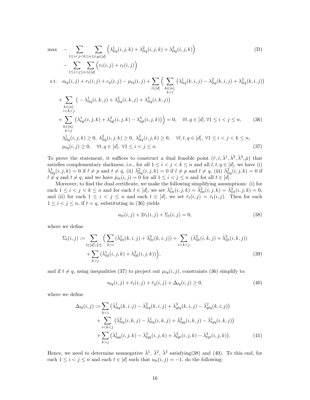$$
\max - \sum_{1 \leq i < j < k \leq n} \sum_{l,t,q \in [d]} \left( \lambda_{ltq}^{1}(i,j,k) + \lambda_{ltq}^{2}(i,j,k) + \lambda_{ltq}^{3}(i,j,k) \right) \tag{D}
$$
\n
$$
- \sum_{1 \leq i < j \leq n} \sum_{t \in [d]} \left( r_{t}(i,j) + c_{t}(i,j) \right)
$$
\n
$$
\text{s.t.} \quad a_{tq}(i,j) + r_{t}(i,j) + c_{q}(i,j) - \mu_{tq}(i,j) + \sum_{l \in [d]} \left( \sum_{k \in [n]:} \left( \lambda_{ltq}^{1}(k,i,j) - \lambda_{ltq}^{2}(k,i,j) + \lambda_{ltq}^{3}(k,i,j) \right) \right)
$$
\n
$$
+ \sum_{k \in [n]:} \left( -\lambda_{tlq}^{1}(i,k,j) + \lambda_{tlq}^{2}(i,k,j) + \lambda_{tlq}^{3}(i,k,j) \right)
$$
\n
$$
+ \sum_{\substack{i < k < j \\ i < k < j}} \left( \lambda_{tql}^{1}(i,j,k) + \lambda_{tql}^{2}(i,j,k) - \lambda_{tql}^{3}(i,j,k) \right) = 0, \quad \forall t, q \in [d], \forall 1 \leq i < j \leq n, \quad (36)
$$
\n
$$
\lambda_{ltq}^{1}(i,j,k) \geq 0, \quad \lambda_{ltq}^{2}(i,j,k) \geq 0, \quad \lambda_{ltq}^{3}(i,j,k) \geq 0, \quad \forall l, t, q \in [d], \forall 1 \leq i < j < k \leq n, \quad \mu_{tq}(i,j) \geq 0, \quad \forall t, q \in [d], \forall 1 \leq i < j < k \quad (37)
$$

To prove the statement, it suffices to construct a dual feasible point  $(\bar{r}, \bar{c}, \bar{\lambda}^1, \bar{\lambda}^2, \bar{\lambda}^3, \bar{\mu})$  that satisfies complementary slackness; i.e., for all  $1 \leq i < j < k \leq n$  and all  $l, t, q \in [d]$ , we have (i)  $\bar{\lambda}_{ltq}^1(i,j,k) = 0$  if  $l \neq p$  and  $t \neq q$ , (ii)  $\bar{\lambda}_{ltq}^2(i,j,k) = 0$  if  $l \neq p$  and  $l \neq q$ , (iii)  $\bar{\lambda}_{ltq}^3(i,j,k) = 0$  if  $l \neq q$  and  $t \neq q$ , and we have  $\bar{\mu}_{tt}(i, j) = 0$  for all  $1 \leq i < j \leq n$  and for all  $t \in [d]$ .

Moreover, to find the dual certificate, we make the following simplifying assumptions: (i) for each  $1 \leq i < j < k \leq n$  and for each  $t \in [d]$ , we set  $\bar{\lambda}_{ttt}^1(i,j,k) = \bar{\lambda}_{ttt}^2(i,j,k) = \bar{\lambda}_{ttt}^3(i,j,k) = 0$ , and (ii) for each  $1 \leq i \leq j \leq n$  and each  $t \in [d]$ , we set  $\overline{r}_t(i,j) = \overline{c}_t(i,j)$ . Then for each  $1 \leq i < j \leq n$ , if  $t = q$ , substituting in (36) yields

$$
a_{tt}(i,j) + 2\bar{r}_t(i,j) + \Sigma_t(i,j) = 0,
$$
\n(38)

where we define

$$
\Sigma_t(i,j) := \sum_{l \in [d] \setminus \{t\}} \Big( \sum_{k < i} (\bar{\lambda}_{tt}^1(k,i,j) + \bar{\lambda}_{tt}^3(k,i,j)) + \sum_{i < k < j} (\bar{\lambda}_{tt}^2(i,k,j) + \bar{\lambda}_{tt}^3(i,k,j)) + \sum_{k > j} (\bar{\lambda}_{tt}^1(i,j,k) + \bar{\lambda}_{tt}^2(i,j,k)) \Big),\tag{39}
$$

and if  $t \neq q$ , using inequalities (37) to project out  $\mu_{tq}(i, j)$ , constraints (36) simplify to:

$$
a_{tq}(i,j) + \bar{r}_t(i,j) + \bar{r}_q(i,j) + \Delta_{tq}(i,j) \ge 0,
$$
\n(40)

where we define

$$
\Delta_{tq}(i,j) := \sum_{k < i} \left( \bar{\lambda}_{ttq}^{1}(k,i,j) - \bar{\lambda}_{ttq}^{2}(k,i,j) + \bar{\lambda}_{qtq}^{3}(k,i,j) - \bar{\lambda}_{qtq}^{2}(k,i,j) \right) \n+ \sum_{i < k < j} \left( \bar{\lambda}_{ttq}^{2}(i,k,j) - \bar{\lambda}_{ttq}^{1}(i,k,j) + \bar{\lambda}_{tqq}^{3}(i,k,j) - \bar{\lambda}_{tqq}^{1}(i,k,j) \right) \n+ \sum_{k > j} \left( \bar{\lambda}_{tqq}^{1}(i,j,k) - \bar{\lambda}_{tqq}^{3}(i,j,k) + \bar{\lambda}_{tqt}^{2}(i,j,k) - \bar{\lambda}_{tqt}^{3}(i,j,k) \right).
$$
\n(41)

Hence, we need to determine nonnegative  $\bar{\lambda}^1$ ,  $\bar{\lambda}^2$ ,  $\bar{\lambda}^3$  satisfying(38) and (40). To this end, for each  $1 \leq i < j \leq n$  and each  $t \in [d]$  such that  $a_{tt}(i, j) = -1$ , do the following: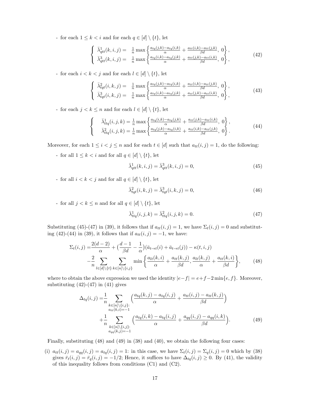- for each  $1 \leq k < i$  and for each  $q \in [d] \setminus \{t\}$ , let

$$
\begin{cases}\n\bar{\lambda}_{qtt}^{1}(k,i,j) = \frac{1}{n} \max \left\{ \frac{a_{tq}(j,k) - a_{tq}(i,k)}{\alpha} + \frac{a_{tt}(i,k) - a_{tt}(j,k)}{\beta d}, 0 \right\}, \\
\bar{\lambda}_{qtt}^{3}(k,i,j) = \frac{1}{n} \max \left\{ \frac{a_{tq}(i,k) - a_{tq}(j,k)}{\alpha} + \frac{a_{tt}(j,k) - a_{tt}(i,k)}{\beta d}, 0 \right\},\n\end{cases}
$$
\n(42)

- for each  $i < k < j$  and for each  $l \in [d] \setminus \{t\}$ , let

$$
\begin{cases}\n\bar{\lambda}_{tqt}^{2}(i,k,j) = \frac{1}{n} \max \left\{ \frac{a_{tq}(j,k) - a_{tq}(i,k)}{\alpha} + \frac{a_{tt}(i,k) - a_{tt}(j,k)}{\beta d}, 0 \right\}, \\
\bar{\lambda}_{tqt}^{3}(i,k,j) = \frac{1}{n} \max \left\{ \frac{a_{tq}(i,k) - a_{tq}(j,k)}{\alpha} + \frac{a_{tt}(j,k) - a_{tt}(i,k)}{\beta d}, 0 \right\},\n\end{cases}
$$
\n(43)

- for each  $j < k \leq n$  and for each  $l \in [d] \setminus \{t\}$ , let

$$
\begin{cases}\n\bar{\lambda}_{ttq}^{1}(i,j,k) = \frac{1}{n} \max \left\{ \frac{a_{tq}(i,k) - a_{tq}(j,k)}{\alpha} + \frac{a_{tt}(j,k) - a_{tt}(i,k)}{\beta d}, 0 \right\}, \\
\bar{\lambda}_{ttq}^{2}(i,j,k) = \frac{1}{n} \max \left\{ \frac{a_{tq}(j,k) - a_{tq}(i,k)}{\alpha} + \frac{a_{tt}(i,k) - a_{tt}(j,k)}{\beta d}, 0 \right\}.\n\end{cases}
$$
\n(44)

Moreover, for each  $1 \leq i < j \leq n$  and for each  $t \in [d]$  such that  $a_{tt}(i, j) = 1$ , do the following:

- for all  $1 \leq k < i$  and for all  $q \in [d] \setminus \{t\}$ , let

$$
\bar{\lambda}^1_{qtt}(k,i,j) = \bar{\lambda}^3_{qtt}(k,i,j) = 0,\tag{45}
$$

- for all  $i < k < j$  and for all  $q \in [d] \setminus \{t\}$ , let

$$
\bar{\lambda}_{tqt}^{2}(i,k,j) = \bar{\lambda}_{tqt}^{3}(i,k,j) = 0,
$$
\n(46)

- for all  $j < k \leq n$  and for all  $q \in [d] \setminus \{t\}$ , let

$$
\bar{\lambda}^1_{ttq}(i,j,k) = \bar{\lambda}^2_{ttq}(i,j,k) = 0.
$$
\n(47)

Substituting (45)-(47) in (39), it follows that if  $a_{tt}(i, j) = 1$ , we have  $\Sigma_t(i, j) = 0$  and substituting (42)-(44) in (39), it follows that if  $a_{tt}(i, j) = -1$ , we have:

$$
\Sigma_t(i,j) = \frac{2(d-2)}{\alpha} + \left(\frac{d-1}{\beta d} - \frac{1}{\alpha}\right)\left(\bar{a}_{t \to t}(i) + \bar{a}_{t \to t}(j)\right) - \kappa(t,i,j)
$$

$$
-\frac{2}{n} \sum_{l \in [d] \setminus \{t\}} \sum_{k \in [n] \setminus \{i,j\}} \min\left\{\frac{a_{lt}(k,i)}{\alpha} + \frac{a_{tt}(k,j)}{\beta d}, \frac{a_{lt}(k,j)}{\alpha} + \frac{a_{tt}(k,i)}{\beta d}\right\},\tag{48}
$$

where to obtain the above expression we used the identity  $|e-f| = e+f-2 \min\{e,f\}$ . Moreover, substituting  $(42)-(47)$  in  $(41)$  gives

$$
\Delta_{tq}(i,j) = \frac{1}{n} \sum_{\substack{k \in [n] \setminus \{i,j\}: \\ at(t,k,i) = -1}} \left( \frac{a_{tq}(k,j) - a_{tq}(i,j)}{\alpha} + \frac{a_{tt}(i,j) - a_{tt}(k,j)}{\beta d} \right) + \frac{1}{n} \sum_{\substack{k \in [n] \setminus \{i,j\}: \\ a_{qq}(k,j) = -1}} \left( \frac{a_{tq}(i,k) - a_{tq}(i,j)}{\alpha} + \frac{a_{qq}(i,j) - a_{qq}(i,k)}{\beta d} \right).
$$
(49)

Finally, substituting (48) and (49) in (38) and (40), we obtain the following four cases:

(i)  $a_{tt}(i, j) = a_{qq}(i, j) = a_{tq}(i, j) = 1$ : in this case, we have  $\Sigma_t(i, j) = \Sigma_q(i, j) = 0$  which by (38) gives  $\bar{r}_t(i,j) = \bar{r}_q(i,j) = -1/2$ ; Hence, it suffices to have  $\Delta_{tq}(i,j) \geq 0$ . By (41), the validity of this inequality follows from conditions (C1) and (C2).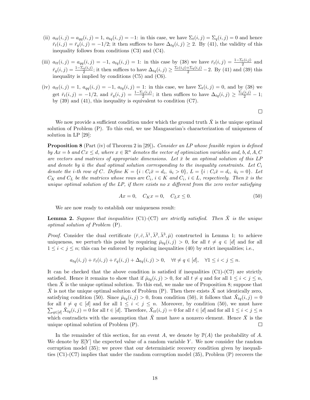- (ii)  $a_{tt}(i, j) = a_{qq}(i, j) = 1$ ,  $a_{tq}(i, j) = -1$ : in this case, we have  $\Sigma_t(i, j) = \Sigma_q(i, j) = 0$  and hence  $\bar{r}_t(i,j) = \bar{r}_q(i,j) = -1/2$ ; it then suffices to have  $\Delta_{tq}(i,j) \geq 2$ . By (41), the validity of this inequality follows from conditions (C3) and (C4).
- (iii)  $a_{tt}(i,j) = a_{qq}(i,j) = -1$ ,  $a_{tq}(i,j) = 1$ : in this case by (38) we have  $\bar{r}_t(i,j) = \frac{1-\Sigma_t(i,j)}{2}$  and  $\bar{r}_q(i,j) = \frac{1-\Sigma_q(i,j)}{2}$ ; it then suffices to have  $\Delta_{tq}(i,j) \ge \frac{\Sigma_t(i,j) + \Sigma_q(i,j)}{2} - 2$ . By (41) and (39) this inequality is implied by conditions (C5) and (C6).
- (iv)  $a_{tt}(i, j) = 1$ ,  $a_{qq}(i, j) = -1$ ,  $a_{tq}(i, j) = 1$ : in this case, we have  $\Sigma_t(i, j) = 0$ , and by (38) we get  $\bar{r}_t(i,j) = -1/2$ , and  $\bar{r}_q(i,j) = \frac{1-\Sigma_q(i,j)}{2}$ ; it then suffices to have  $\Delta_{tq}(i,j) \ge \frac{\Sigma_q(i,j)}{2} - 1$ ; by (39) and (41), this inequality is equivalent to condition (C7).

We now provide a sufficient condition under which the ground truth  $\bar{X}$  is the unique optimal solution of Problem (P). To this end, we use Mangasarian's characterization of uniqueness of solution in LP [29]:

**Proposition 8** (Part (iv) of Theorem 2 in [29]). Consider an LP whose feasible region is defined by  $Ax = b$  and  $Cx \leq d$ , where  $x \in \mathbb{R}^n$  denotes the vector of optimization variables and, b, d, A, C are vectors and matrices of appropriate dimensions. Let  $\bar{x}$  be an optimal solution of this LP and denote by  $\bar{u}$  the dual optimal solution corresponding to the inequality constraints. Let  $C_i$ denote the *i*-th row of *C*. Define  $K = \{i : C_i \bar{x} = d_i, \bar{u}_i > 0\}$ ,  $L = \{i : C_i \bar{x} = d_i, \bar{u}_i = 0\}$ . Let  $C_K$  and  $C_L$  be the matrices whose rows are  $C_i$ ,  $i \in K$  and  $C_i$ ,  $i \in L$ , respectively. Then  $\bar{x}$  is the unique optimal solution of the  $LP$ , if there exists no x different from the zero vector satisfying

$$
Ax = 0, \quad C_K x = 0, \quad C_L x \le 0. \tag{50}
$$

We are now ready to establish our uniqueness result:

**Lemma 2.** Suppose that inequalities (C1)-(C7) are strictly satisfied. Then  $\bar{X}$  is the unique optimal solution of Problem (P).

*Proof.* Consider the dual certificate  $(\bar{r}, \bar{c}, \bar{\lambda}^1, \bar{\lambda}^2, \bar{\lambda}^3, \bar{\mu})$  constructed in Lemma 1; to achieve uniqueness, we perturb this point by requiring  $\bar{\mu}_{tq}(i,j) > 0$ , for all  $t \neq q \in [d]$  and for all  $1 \leq i \leq j \leq n$ ; this can be enforced by replacing inequalities (40) by strict inequalities; i.e.,

$$
a_{tq}(i,j) + \bar{r}_t(i,j) + \bar{r}_q(i,j) + \Delta_{tq}(i,j) > 0, \quad \forall t \neq q \in [d], \quad \forall 1 \leq i < j \leq n.
$$

It can be checked that the above condition is satisfied if inequalities  $(C1)-(C7)$  are strictly satisfied. Hence it remains to show that if  $\bar{\mu}_{tq}(i, j) > 0$ , for all  $t \neq q$  and for all  $1 \leq i < j \leq n$ , then  $\bar{X}$  is the unique optimal solution. To this end, we make use of Proposition 8; suppose that  $\bar{X}$  is not the unique optimal solution of Problem (P). Then there exists X not identically zero, satisfying condition (50). Since  $\bar{\mu}_{tq}(i,j) > 0$ , from condition (50), it follows that  $\tilde{X}_{tq}(i,j) = 0$ for all  $t \neq q \in [d]$  and for all  $1 \leq i < j \leq n$ . Moreover, by condition (50), we must have  $\sum_{i \in [d]} \tilde{X}_{ta}(i, j) = 0$  for all  $t \in [d]$ . Therefore,  $\tilde{X}_{ta}(i, j) = 0$  for all  $t \in [d]$  and for all  $1 \leq i < j \leq n$  $q \in [d]$   $\tilde{X}_{tq}(i, j) = 0$  for all  $t \in [d]$ . Therefore,  $\tilde{X}_{tt}(i, j) = 0$  for all  $t \in [d]$  and for all  $1 \leq i \leq j \leq n$ which contradicts with the assumption that  $\tilde{X}$  must have a nonzero element. Hence  $\bar{X}$  is the unique optimal solution of Problem (P).  $\Box$ 

In the remainder of this section, for an event A, we denote by  $\mathbb{P}(A)$  the probability of A. We denote by  $\mathbb{E}[Y]$  the expected value of a random variable Y. We now consider the random corruption model (35); we prove that our deterministic recovery condition given by inequalities (C1)-(C7) implies that under the random corruption model (35), Problem (P) recovers the

 $\Box$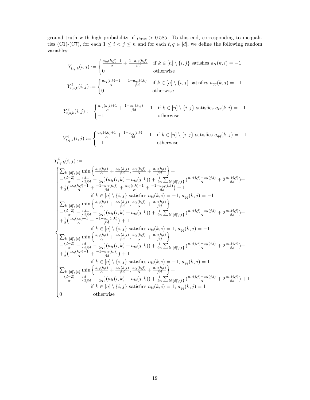ground truth with high probability, if  $p_{true} > 0.585$ . To this end, corresponding to inequalities (C1)-(C7), for each  $1 \leq i < j \leq n$  and for each  $t, q \in [d]$ , we define the following random variables:

$$
Y_{t,q,k}^1(i,j) := \begin{cases} \frac{a_{tq}(k,j)-1}{\alpha} + \frac{1-a_{tt}(k,j)}{\beta d} & \text{if } k \in [n] \setminus \{i,j\} \text{ satisfies } a_{tt}(k,i) = -1\\ 0 & \text{otherwise} \end{cases}
$$
  

$$
Y_{t,q,k}^2(i,j) := \begin{cases} \frac{a_{tq}(i,k)-1}{\alpha} + \frac{1-a_{qq}(i,k)}{\beta d} & \text{if } k \in [n] \setminus \{i,j\} \text{ satisfies } a_{qq}(k,j) = -1\\ 0 & \text{otherwise} \end{cases}
$$

$$
Y_{t,q,k}^3(i,j) := \begin{cases} \frac{a_{tq}(k,j)+1}{\alpha} + \frac{1-a_{tt}(k,j)}{\beta d} - 1 & \text{if } k \in [n] \setminus \{i,j\} \text{ satisfies } a_{tt}(k,i) = -1\\ -1 & \text{otherwise} \end{cases}
$$

$$
Y_{t,q,k}^4(i,j) := \begin{cases} \frac{a_{tq}(i,k)+1}{\alpha} + \frac{1-a_{qq}(i,k)}{\beta d} - 1 & \text{if } k \in [n] \setminus \{i,j\} \text{ satisfies } a_{qq}(k,j) = -1\\ -1 & \text{otherwise} \end{cases}
$$

$$
\begin{split} Y_{t,q,k}^{5}(i,j) := \\ Y_{t,q,k}^{5}(i,j) := \\ & \begin{cases} \sum_{l \in [d] \backslash \{t\}} \min \left\{ \frac{a_{lt}(k,i)}{\alpha} + \frac{a_{tt}(k,j)}{\beta d}, \frac{a_{lt}(k,j)}{\alpha} + \frac{a_{tt}(k,i)}{\beta d} \right\} + \\ - \frac{(d-2)}{\alpha} - (\frac{d-1}{2\beta d} - \frac{1}{2\alpha})(a_{tt}(i,k) + a_{tt}(j,k)) + \frac{1}{2n} \sum_{l \in [d] \backslash \{t\}} (\frac{a_{tt}(i,j) + a_{tt}(j,i)}{\alpha} + 2 \frac{a_{tt}(i,j)}{\beta d}) + \\ + \frac{1}{2} (\frac{a_{tq}(k,j)-1}{\alpha} + \frac{-1-a_{tt}(k,j)}{\beta d} + \frac{a_{tt}(k,j)}{\alpha} + \frac{a_{tt}(k,i)-1}{\beta d} + \frac{-1-a_{qq}(i,k)}{\beta d}) + 1 \\ & \text{if } k \in [n] \backslash \{i,j\} \text{ satisfies } a_{tt}(k,i) = -1, a_{qq}(k,j) = -1 \\ \sum_{l \in [d] \backslash \{t\}} \min \left\{ \frac{a_{tt}(k,i)}{\alpha} + \frac{a_{tt}(k,j)}{\beta d}, \frac{a_{tt}(k,j)}{\alpha} + \frac{a_{tt}(k,i)}{\beta d} \right\} + \\ - \frac{(d-2)}{\alpha} - (\frac{d-1}{2\alpha} - \frac{1}{2\alpha})(a_{tt}(i,k) + a_{tt}(j,k)) + \frac{1}{2n} \sum_{l \in [d] \backslash \{t\}} (\frac{a_{tt}(i,j) + a_{tt}(j,i)}{\alpha} + 2 \frac{a_{tt}(i,j)}{\beta d}) + \\ + \frac{1}{2} (\frac{a_{tq}(i,k)-1}{\alpha} + \frac{-1-a_{qq}(i,k)}{\beta d}) + 1 \\ & \text{if } k \in [n] \backslash \{i,j\} \text{ satisfies } a_{tt}(k,i) = 1, a_{qq}(k,j) = -1 \\ \sum_{l \in [d] \backslash \{t\}} \min \left\{ \frac{a_{tt}(k,i)}{\alpha} + \frac{a_{tt}(k,j)}{\beta d}, \frac{a_{tt}(k,j)}{\alpha} + \frac{a_{tt}(k,i)}{\beta d} \right\} + \\ - \frac{(d-
$$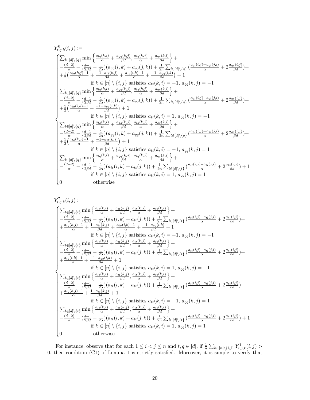$$
\begin{split} Y_{t,q,k}^{6}(i,j):=&\\ \begin{cases} \sum_{l\in[d]\backslash\{q\}}\min\left\{\frac{a_{lq}(k,i)}{\alpha}+\frac{a_{qq}(k,j)}{\beta d},\frac{a_{lq}(k,j)}{\alpha}+\frac{a_{qq}(k,i)}{\beta d}\right\}+\\ &-\frac{(d-2)}{\alpha}-(\frac{d-1}{2\beta d}-\frac{1}{2\alpha})(a_{qq}(i,k)+a_{qq}(j,k))+\frac{1}{2n}\sum_{l\in[d]\backslash\{q\}}(\frac{a_{ql}(i,j)+a_{ql}(j,i)}{\alpha}+2\frac{a_{qq}(i,j)}{\beta d})+\\ &+\frac{1}{2}\Big(\frac{a_{tq}(k,j)-1}{\alpha}+\frac{1-a_{tt}(k,j)}{\beta d}+\frac{a_{tq}(k,i)-1}{\alpha}+\frac{1-a_{qq}(k,k)}{\beta d}\Big)+1\\ &\qquad\text{if }k\in[n]\backslash\{i,j\}\text{ satisfies }a_{tt}(k,i)=-1,\,a_{qq}(k,j)=-1\\ &-\sum_{l\in[d]\backslash\{q\}}\min\left\{\frac{a_{lq}(k,i)}{\alpha}+\frac{a_{qq}(k,j)}{\beta d},\frac{a_{lq}(k,j)}{\alpha}+\frac{a_{qq}(k,j)}{\beta d}\right\}+\\ &-\frac{(d-2)}{\alpha}-(\frac{d-1}{2\beta d}-\frac{1}{2\alpha})(a_{qq}(i,k)+a_{qq}(j,k))+\frac{1}{2n}\sum_{l\in[d]\backslash\{q\}}(\frac{a_{ql}(i,j)+a_{ql}(j,i)}{\alpha}+2\frac{a_{qq}(i,j)}{\beta d})+\\ &+\frac{1}{2}\Big(\frac{a_{tq}(k,i)}{\alpha}+\frac{1-a_{qq}(i,k)}{\beta d}\Big)+1\\ &\qquad\text{if }k\in[n]\backslash\{i,j\}\text{ satisfies }a_{tt}(k,i)=1,\,a_{qq}(k,j)=-1\\ &-\frac{(d-2)}{\alpha}-(\frac{d-1}{2\alpha} -\frac{1}{2\alpha})(a_{qq}(i,k)+a_{qq}(j,k))+\frac{1}{2n}\sum_{l\in[d]\backslash\{q\}}(\frac{a_{ql}(i,j)+a_{ql}(j,i)}{\alpha}+2\frac{a_{qq}(i,j)}{\beta d})+\\ &-\frac{(d-2)}{\alpha}-(\frac{d-1}{2\beta d}-\frac{1}{2\alpha})(a_{qq}(i
$$

$$
\begin{split} Y_{t,q,k}^7(i,j) &:= \\ Y_{t,q,k}^7(i,j) &:= \\ \begin{cases} \sum_{l\in[d]\backslash\{t\}}\min\left\{\frac{a_{lt}(k,i)}{\alpha}+\frac{a_{tt}(k,j)}{\beta d},\frac{a_{lt}(k,j)}{\alpha}+\frac{a_{tt}(k,i)}{\beta d}\right\}+ \\ -\frac{(d-2)}{\alpha}-(\frac{d-1}{\beta d}-\frac{1}{2\alpha})(a_{tt}(i,k)+a_{tt}(j,k))+\frac{1}{2n}\sum_{l\in[d]\backslash\{t\}}\left(\frac{a_{tt}(i,j)+a_{tt}(j,i)}{\alpha}+2\frac{a_{tt}(i,j)}{\beta d}\right)+ \\ +\frac{a_{tq}(k,j)-1}{\alpha}+\frac{1-a_{tt}(k,j)}{\beta d}+\frac{a_{tt}(k,j)}{\alpha}+\frac{a_{tt}(k,j)}{\beta d},\frac{a_{tt}(k,j)}{\alpha}+1 \\ \text{if } k\in[n]\backslash\{i,j\} \text{ satisfies } a_{tt}(k,i)=-1,\ a_{qq}(k,j)=-1 \\ \sum_{l\in[d]\backslash\{t\}}\min\left\{\frac{a_{tt}(k,i)}{\alpha}+\frac{a_{tt}(k,j)}{\alpha d},\frac{a_{tt}(k,j)}{\alpha}+\frac{a_{tt}(k,i)}{\beta d}\right\}+ \\ -\frac{(d-2)}{\alpha}-(\frac{d-1}{\beta d}-\frac{1}{2\alpha})(a_{tt}(i,k)+a_{tt}(j,k))+\frac{1}{2n}\sum_{l\in[d]\backslash\{t\}}\left(\frac{a_{tt}(i,j)+a_{tt}(j,i)}{\alpha}+2\frac{a_{tt}(i,j)}{\beta d}\right)+ \\ +\frac{a_{ttq}(k,k)-1}{\alpha}+\frac{-1-a_{qq}(i,k)}{\beta d}+1 \\ \text{if } k\in[n]\backslash\{i,j\} \text{ satisfies } a_{tt}(k,i)=1,\ a_{qq}(k,j)=-1 \\ \sum_{l\in[d]\backslash\{t\}}\min\left\{\frac{a_{tt}(k,i)}{\alpha}+\frac{a_{tt}(k,j)}{\beta d},\frac{a_{tt}(k,j)}{\alpha}+\frac{a_{tt}(k,i)}{\beta d}\right\}+ \\ -\frac{(d-2)}{\alpha}-(\frac{d-1}{2\beta d}-\frac{1}{2\alpha})(a_{tt}(i,k)+a_{tt}(j,k))+\frac{1}{2n}\sum_{l\in[d]\backslash\{t\}}\left(\
$$

For instance, observe that for each  $1 \leq i < j \leq n$  and  $t, q \in [d]$ , if  $\frac{1}{n} \sum_{k \in [n] \setminus \{i,j\}} Y_{t,q,k}^1(i,j) >$ 0, then condition (C1) of Lemma 1 is strictly satisfied. Moreover, it is simple to verify that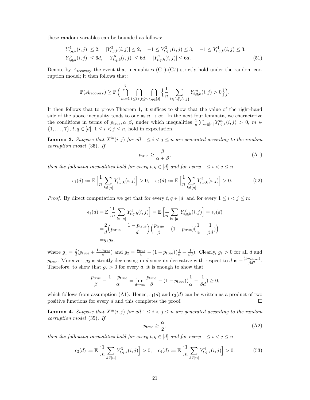these random variables can be bounded as follows:

$$
|Y_{t,q,k}^1(i,j)| \le 2, \quad |Y_{t,q,k}^2(i,j)| \le 2, \quad -1 \le Y_{t,q,k}^3(i,j) \le 3, \quad -1 \le Y_{t,q,k}^4(i,j) \le 3, |Y_{t,q,k}^5(i,j)| \le 6d, \quad |Y_{t,q,k}^6(i,j)| \le 6d.
$$
 (51)

Denote by  $A_{\text{recovery}}$  the event that inequalities (C1)-(C7) strictly hold under the random corruption model; it then follows that:

$$
\mathbb{P}(A_{\text{recovery}}) \geq \mathbb{P}\left(\bigcap_{m=1}^{7} \bigcap_{1 \leq i < j \leq n} \bigcap_{t,q \in [d]} \left\{ \frac{1}{n} \sum_{k \in [n] \setminus \{i,j\}} Y_{t,q,k}^m(i,j) > 0 \right\} \right).
$$

It then follows that to prove Theorem 1, it suffices to show that the value of the right-hand side of the above inequality tends to one as  $n \to \infty$ . In the next four lemmata, we characterize the conditions in terms of  $p_{true}, \alpha, \beta$ , under which inequalities  $\frac{1}{n} \sum_{k \in [n]} Y_{t,q,k}^m(i,j) > 0, m \in$  $\{1, \ldots, 7\}, t, q \in [d], 1 \leq i < j \leq n$ , hold in expectation.

**Lemma 3.** Suppose that  $X^{in}(i, j)$  for all  $1 \leq i < j \leq n$  are generated according to the random corruption model (35). If

$$
p_{\text{true}} \ge \frac{\beta}{\alpha + \beta},\tag{A1}
$$

then the following inequalities hold for every  $t, q \in [d]$  and for every  $1 \leq i < j \leq n$ 

$$
\epsilon_1(d) := \mathbb{E}\left[\frac{1}{n}\sum_{k \in [n]} Y_{t,q,k}^1(i,j)\right] > 0, \quad \epsilon_2(d) := \mathbb{E}\left[\frac{1}{n}\sum_{k \in [n]} Y_{t,q,k}^2(i,j)\right] > 0. \tag{52}
$$

*Proof.* By direct computation we get that for every  $t, q \in [d]$  and for every  $1 \le i < j \le n$ :

$$
\epsilon_1(d) = \mathbb{E}\left[\frac{1}{n}\sum_{k\in[n]} Y_{t,q,k}^1(i,j)\right] = \mathbb{E}\left[\frac{1}{n}\sum_{k\in[n]} Y_{t,q,k}^2(i,j)\right] = \epsilon_2(d)
$$

$$
= \frac{2}{d}\left(p_{\text{true}} + \frac{1 - p_{\text{true}}}{d}\right)\left(\frac{p_{\text{true}}}{\beta} - (1 - p_{\text{true}})\left(\frac{1}{\alpha} - \frac{1}{\beta d}\right)\right)
$$

$$
= g_1 g_2,
$$

where  $g_1 = \frac{2}{d}(p_{\text{true}} + \frac{1-p_{\text{true}}}{d})$  and  $g_2 = \frac{p_{\text{true}}}{\beta} - (1-p_{\text{true}})(\frac{1}{\alpha} - \frac{1}{\beta d})$ . Clearly,  $g_1 > 0$  for all d and p<sub>true</sub>. Moreover,  $g_2$  is strictly decreasing in d since its derivative with respect to d is  $-\frac{(1-p_{true})}{\beta d^2}$ . Therefore, to show that  $g_2 > 0$  for every d, it is enough to show that

$$
\frac{p_{\text{true}}}{\beta} - \frac{1 - p_{\text{true}}}{\alpha} = \lim_{d \to \infty} \frac{p_{\text{true}}}{\beta} - (1 - p_{\text{true}}) \left(\frac{1}{\alpha} - \frac{1}{\beta d}\right) \ge 0,
$$

which follows from assumption (A1). Hence,  $\epsilon_1(d)$  and  $\epsilon_2(d)$  can be written as a product of two positive functions for every d and this completes the proof.  $\Box$ 

**Lemma 4.** Suppose that  $X^{in}(i, j)$  for all  $1 \leq i < j \leq n$  are generated according to the random corruption model (35). If

$$
p_{\text{true}} \ge \frac{\alpha}{2},\tag{A2}
$$

then the following inequalities hold for every  $t, q \in [d]$  and for every  $1 \leq i < j \leq n$ ,

$$
\epsilon_3(d) := \mathbb{E}\left[\frac{1}{n}\sum_{k \in [n]} Y_{t,q,k}^3(i,j)\right] > 0, \quad \epsilon_4(d) := \mathbb{E}\left[\frac{1}{n}\sum_{k \in [n]} Y_{t,q,k}^4(i,j)\right] > 0. \tag{53}
$$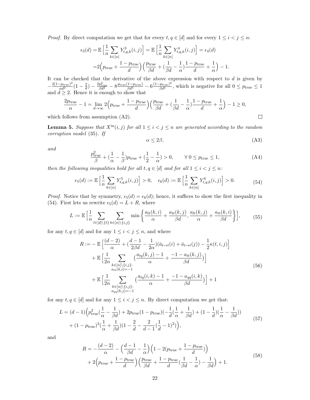*Proof.* By direct computation we get that for every  $t, q \in [d]$  and for every  $1 \leq i < j \leq n$ :

$$
\epsilon_3(d) = \mathbb{E}\left[\frac{1}{n}\sum_{k\in[n]} Y_{t,q,k}^3(i,j)\right] = \mathbb{E}\left[\frac{1}{n}\sum_{k\in[n]} Y_{t,q,k}^4(i,j)\right] = \epsilon_4(d)
$$

$$
= 2\left(p_{\text{true}} + \frac{1-p_{\text{true}}}{d}\right)\left(\frac{p_{\text{true}}}{\beta d} + \left(\frac{1}{\beta d} - \frac{1}{\alpha}\right)\frac{1-p_{\text{true}}}{d} + \frac{1}{\alpha}\right) - 1.
$$

It can be checked that the derivative of the above expression with respect to  $d$  is given by  $-\frac{2(1-p_{\text{true}})^2}{\alpha d^2}(1-\frac{2}{d})-\frac{2p_{\text{true}}^2}{\beta d^2}-8\frac{p_{\text{true}}(1-p_{\text{true}})}{\beta d^3}-6\frac{(1-p_{\text{true}})^2}{\beta d^4},$  which is negative for all  $0 \leq p_{\text{true}} \leq 1$ and  $d \geq 2$ . Hence it is enough to show that

$$
\frac{2p_{\text{true}}}{\alpha} - 1 = \lim_{d \to \infty} 2\left(p_{\text{true}} + \frac{1 - p_{\text{true}}}{d}\right) \left(\frac{p_{\text{true}}}{\beta d} + \left(\frac{1}{\beta d} - \frac{1}{\alpha}\right) \frac{1 - p_{\text{true}}}{d} + \frac{1}{\alpha}\right) - 1 \ge 0,
$$

which follows from assumption (A2).

**Lemma 5.** Suppose that  $X^{in}(i, j)$  for all  $1 \leq i < j \leq n$  are generated according to the random corruption model (35). If

$$
\alpha \le 2\beta,\tag{A3}
$$

 $\Box$ 

and

$$
\frac{p_{\text{true}}^2}{\beta} + \left(\frac{1}{\alpha} - \frac{1}{\beta}\right)p_{\text{true}} + \left(\frac{1}{2} - \frac{1}{\alpha}\right) > 0, \qquad \forall \ 0 \le p_{\text{true}} \le 1,\tag{A4}
$$

then the following inequalities hold for all  $t, q \in [d]$  and for all  $1 \leq i < j \leq n$ :

$$
\epsilon_5(d) := \mathbb{E}\left[\frac{1}{n}\sum_{k\in[n]} Y^5_{t,q,k}(i,j)\right] > 0, \quad \epsilon_6(d) := \mathbb{E}\left[\frac{1}{n}\sum_{k\in[n]} Y^6_{t,q,k}(i,j)\right] > 0. \tag{54}
$$

*Proof.* Notice that by symmetry,  $\epsilon_5(d) = \epsilon_6(d)$ ; hence, it suffices to show the first inequality in (54). First lets us rewrite  $\epsilon_5(d) = L + R$ , where

$$
L := \mathbb{E}\left[\frac{1}{n}\sum_{l\in[d]\backslash\{t\}}\sum_{k\in[n]\backslash\{i,j\}}\min\left\{\frac{a_{lt}(k,i)}{\alpha} + \frac{a_{tt}(k,j)}{\beta d},\frac{a_{lt}(k,j)}{\alpha} + \frac{a_{tt}(k,i)}{\beta d}\right\}\right],\tag{55}
$$

for any  $t, q \in [d]$  and for any  $1 \leq i < j \leq n$ , and where

$$
R := -\mathbb{E}\left[\frac{(d-2)}{\alpha} + \left(\frac{d-1}{2\beta d} - \frac{1}{2\alpha}\right)\left(\bar{a}_{t\to t}(i) + \bar{a}_{t\to t}(j)\right) - \frac{1}{2}\kappa(t, i, j)\right] \\
+ \mathbb{E}\left[\frac{1}{2n}\sum_{\substack{k \in [n]\backslash\{i,j\}:\\ a_{tt}(k,i) = -1}} \left(\frac{a_{tq}(k,j) - 1}{\alpha} + \frac{-1 - a_{tt}(k,j)}{\beta d}\right)\right] \\
+ \mathbb{E}\left[\frac{1}{2n}\sum_{\substack{k \in [n]\backslash\{i,j\}:\\ a_{qq}(k,j) = -1}} \left(\frac{a_{tq}(i,k) - 1}{\alpha} + \frac{-1 - a_{qq}(i,k)}{\beta d}\right)\right] + 1
$$
\n(56)

for any  $t, q \in [d]$  and for any  $1 \leq i < j \leq n$ . By direct computation we get that:

$$
L = (d-1)\left(p_{\text{true}}^2\left(\frac{1}{\alpha} - \frac{1}{\beta d}\right) + 2p_{\text{true}}(1 - p_{\text{true}})\left(-\frac{1}{d}\left(\frac{1}{\alpha} + \frac{1}{\beta d}\right) + (1 - \frac{1}{d})\left(\frac{1}{\alpha} - \frac{1}{\beta d}\right)\right) + (1 - p_{\text{true}})^2\left(\frac{1}{\alpha} + \frac{1}{\beta d}\right)(1 - \frac{2}{d} - \frac{2}{d-1}\left(\frac{1}{d} - 1\right)^2)\right),\tag{57}
$$

and

$$
R = -\frac{(d-2)}{\alpha} - \left(\frac{d-1}{\beta d} - \frac{1}{\alpha}\right) \left(1 - 2(p_{\text{true}} + \frac{1 - p_{\text{true}}}{d})\right)
$$
  
+ 2\left(p\_{\text{true}} + \frac{1 - p\_{\text{true}}}{d}\right) \left(\frac{p\_{\text{true}}}{\beta d} + \frac{1 - p\_{\text{true}}}{d}\left(\frac{1}{\beta d} - \frac{1}{\alpha}\right) - \frac{1}{\beta d}\right) + 1. (58)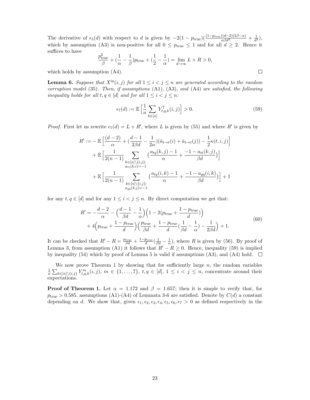The derivative of  $\epsilon_5(d)$  with respect to d is given by  $-2(1-p_{\text{true}})(\frac{(1-p_{\text{true}})(d-2)(2\beta-\alpha)}{\alpha\beta d^3}+\frac{1}{d^2}),$ which by assumption (A3) is non-positive for all  $0 \leq p_{\text{true}} \leq 1$  and for all  $d \geq 2$ . Hence it suffices to have

$$
\frac{p_{\text{true}}^2}{\beta} + \left(\frac{1}{\alpha} - \frac{1}{\beta}\right)p_{\text{true}} + \left(\frac{1}{2} - \frac{1}{\alpha}\right) = \lim_{d \to \infty} L + R > 0,
$$

which holds by assumption (A4).

**Lemma 6.** Suppose that  $X^{in}(i, j)$  for all  $1 \leq i < j \leq n$  are generated according to the random corruption model (35). Then, if assumptions (A1), (A3), and (A4) are satisfied, the following inequality holds for all  $t, q \in [d]$  and for all  $1 \leq i < j \leq n$ :

$$
\epsilon_7(d) := \mathbb{E}\left[\frac{1}{n}\sum_{k\in[n]} Y_{t,q,k}^7(i,j)\right] > 0.
$$
\n(59)

*Proof.* First let us rewrite  $\epsilon_7(d) = L + R'$ , where L is given by (55) and where R' is given by

$$
R' := -\mathbb{E}\left[\frac{(d-2)}{\alpha} + \left(\frac{d-1}{2\beta d} - \frac{1}{2\alpha}\right)(\bar{a}_{t\to t}(i) + \bar{a}_{t\to t}(j)) - \frac{1}{2}\kappa(t, i, j)\right] \\
+ \mathbb{E}\left[\frac{1}{2(n-1)} \sum_{\substack{k \in [n] \setminus \{i, j\}: \\ a_{tt}(k, i) = -1}} \left(\frac{a_{tq}(k, j) - 1}{\alpha} + \frac{-1 - a_{tt}(k, j)}{\beta d}\right)\right] \\
+ \mathbb{E}\left[\frac{1}{2(n-1)} \sum_{\substack{k \in [n] \setminus \{i, j\}: \\ a_{qq}(k, j) = -1}} \left(\frac{a_{tq}(i, k) - 1}{\alpha} + \frac{-1 - a_{qq}(i, k)}{\beta d}\right)\right] + 1
$$

for any  $t, q \in [d]$  and for any  $1 \leq i < j \leq n$ . By direct computation we get that:

$$
R' = -\frac{d-2}{\alpha} - \left(\frac{d-1}{\beta d} - \frac{1}{\alpha}\right) \left(1 - 2(p_{\text{true}} + \frac{1 - p_{\text{true}}}{d})\right)
$$
  
+ 4\left(p\_{\text{true}} + \frac{1 - p\_{\text{true}}}{d}\right) \left(\frac{p\_{\text{true}}}{\beta d} + \frac{1 - p\_{\text{true}}}{d}\left(\frac{1}{\beta d} - \frac{1}{\alpha}\right) - \frac{1}{2\beta d}\right) + 1. (60)

It can be checked that  $R'-R=\frac{p_{\text{true}}}{\beta d}+\frac{1-p_{\text{true}}}{d}(\frac{1}{\beta d}-\frac{1}{\alpha})$ , where R is given by (56). By proof of Lemma 3, from assumption (A1) it follows that  $R'-R\geq0$ . Hence, inequality (59) is implied by inequality (54) which by proof of Lemma 5 is valid if assumptions (A3), and (A4) hold.  $\square$ 

We now prove Theorem 1 by showing that for sufficiently large  $n$ , the random variables  $\frac{1}{n}\sum_{k\in[n]\setminus\{i,j\}} Y^m_{t,q,k}(i,j), m\in\{1,\ldots,7\}, t,q\in[d], 1\leq i < j \leq n$ , concentrate around their expectations.

**Proof of Theorem 1.** Let  $\alpha = 1.172$  and  $\beta = 1.657$ ; then it is simple to verify that, for  $p_{\text{true}} > 0.585$ , assumptions (A1)-(A4) of Lemmata 3-6 are satisfied. Denote by  $C(d)$  a constant depending on d. We show that, given  $\epsilon_1, \epsilon_2, \epsilon_3, \epsilon_4, \epsilon_5, \epsilon_6, \epsilon_7 > 0$  as defined respectively in the

 $\Box$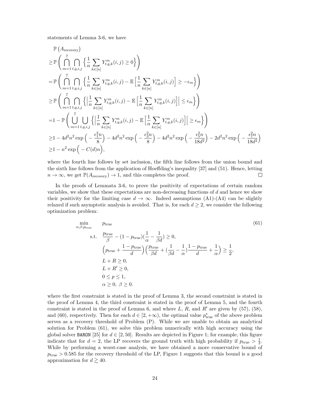statements of Lemma 3-6, we have

$$
\mathbb{P}\left(A_{\text{recovery}}\right)
$$
\n
$$
\geq \mathbb{P}\left(\bigcap_{m=1}^{7}\bigcap_{t,q,i,j}\left\{\frac{1}{n}\sum_{k\in[n]}Y_{t,q,k}^{m}(i,j)\geq 0\right\}\right)
$$
\n
$$
= \mathbb{P}\left(\bigcap_{m=1}^{7}\bigcap_{t,q,i,j}\left\{\frac{1}{n}\sum_{k\in[n]}Y_{t,q,k}^{m}(i,j)-\mathbb{E}\left[\frac{1}{n}\sum_{k\in[n]}Y_{t,q,k}^{m}(i,j)\right]\geq -\epsilon_{m}\right\}\right)
$$
\n
$$
\geq \mathbb{P}\left(\bigcap_{m=1}^{7}\bigcap_{t,q,i,j}\left\{\left|\frac{1}{n}\sum_{k\in[n]}Y_{t,q,k}^{m}(i,j)-\mathbb{E}\left[\frac{1}{n}\sum_{k\in[n]}Y_{t,q,k}^{m}(i,j)\right]\right|\leq \epsilon_{m}\right\}\right)
$$
\n
$$
=1-\mathbb{P}\left(\bigcup_{m=1}^{7}\bigcup_{t,q,i,j}\left\{\left|\frac{1}{n}\sum_{k\in[n]}Y_{t,q,k}^{m}(i,j)-\mathbb{E}\left[\frac{1}{n}\sum_{k\in[n]}Y_{t,q,k}^{m}(i,j)\right]\right|\geq \epsilon_{m}\right\}\right)
$$
\n
$$
\geq 1-4d^{2}n^{2}\exp\left(-\frac{\epsilon_{1}^{2}n}{8}\right)-4d^{2}n^{2}\exp\left(-\frac{\epsilon_{3}^{2}n}{8}\right)-4d^{2}n^{2}\exp\left(-\frac{\epsilon_{3}^{2}n}{18d^{2}}\right)-2d^{2}n^{2}\exp\left(-\frac{\epsilon_{1}^{2}n}{18d^{2}}\right)
$$
\n
$$
\geq 1-n^{2}\exp\left(-C(d)n\right),
$$

where the fourth line follows by set inclusion, the fifth line follows from the union bound and the sixth line follows from the application of Hoeffding's inequality [37] and (51). Hence, letting  $n \to \infty$ , we get  $\mathbb{P}(A_{\text{recovery}}) \to 1$ , and this completes the proof.  $\Box$ 

In the proofs of Lemmata 3-6, to prove the positivity of expectations of certain random variables, we show that these expectations are non-decreasing functions of  $d$  and hence we show their positivity for the limiting case  $d \to \infty$ . Indeed assumptions (A1)-(A4) can be slightly relaxed if such asymptotic analysis is avoided. That is, for each  $d \geq 2$ , we consider the following optimization problem:

$$
\min_{\alpha,\beta,p_{\text{true}}} \quad p_{\text{true}} \quad (61)
$$
\n
$$
\text{s.t.} \quad \frac{p_{\text{true}}}{\beta} - (1 - p_{\text{true}}) \left(\frac{1}{\alpha} - \frac{1}{\beta d}\right) \ge 0,
$$
\n
$$
\left(p_{\text{true}} + \frac{1 - p_{\text{true}}}{d}\right) \left(\frac{p_{\text{true}}}{\beta d} + \left(\frac{1}{\beta d} - \frac{1}{\alpha}\right) \frac{1 - p_{\text{true}}}{d} + \frac{1}{\alpha}\right) \ge \frac{1}{2},
$$
\n
$$
L + R \ge 0,
$$
\n
$$
L + R' \ge 0,
$$
\n
$$
0 \le p \le 1,
$$
\n
$$
\alpha \ge 0, \ \beta \ge 0.
$$
\n(61)

where the first constraint is stated in the proof of Lemma 3, the second constraint is stated in the proof of Lemma 4, the third constraint is stated in the proof of Lemma 5, and the fourth constraint is stated in the proof of Lemma 6, and where L, R, and R' are given by  $(57)$ ,  $(58)$ , and (60), respectively. Then for each  $d \in [2, +\infty)$ , the optimal value  $p_{\text{true}}^*$  of the above problem serves as a recovery threshold of Problem (P). While we are unable to obtain an analytical solution for Problem (61), we solve this problem numerically with high accuracy using the global solver BARON [25] for  $d \in [2, 50]$ . Results are depicted in Figure 1; for example, this figure indicate that for  $d = 2$ , the LP recovers the ground truth with high probability if  $p_{\text{true}} > \frac{1}{3}$ . While by performing a worst-case analysis, we have obtained a more conservative bound of  $p_{true} > 0.585$  for the recovery threshold of the LP, Figure 1 suggests that this bound is a good approximation for  $d \gtrsim 40$ .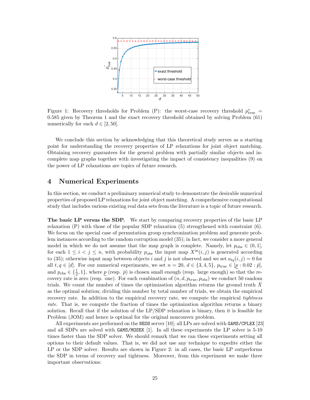

Figure 1: Recovery thresholds for Problem (P): the worst-case recovery threshold  $p_{\text{true}}^* =$ 0.585 given by Theorem 1 and the exact recovery threshold obtained by solving Problem (61) numerically for each  $d \in [2, 50]$ .

We conclude this section by acknowledging that this theoretical study serves as a starting point for understanding the recovery properties of LP relaxations for joint object matching. Obtaining recovery guarantees for the general problem with partially similar objects and incomplete map graphs together with investigating the impact of consistency inequalities (9) on the power of LP relaxations are topics of future research.

## 4 Numerical Experiments

In this section, we conduct a preliminary numerical study to demonstrate the desirable numerical properties of proposed LP relaxations for joint object matching. A comprehensive computational study that includes various existing real data sets from the literature is a topic of future research.

The basic LP versus the SDP. We start by comparing recovery properties of the basic LP relaxation (P) with those of the popular SDP relaxation (5) strengthened with constraint (6). We focus on the special case of permutation group synchronization problem and generate problem instances according to the random corruption model (35); in fact, we consider a more general model in which we do not assume that the map graph is complete. Namely, let  $p_{obs} \in (0,1]$ , for each  $1 \leq i \leq j \leq n$ , with probability  $p_{obs}$  the input map  $X^{in}(i, j)$  is generated according to (35); otherwise input map between objects i and j is not observed and we set  $a_{tq}(i, j) = 0$  for all  $t, q \in [d]$ . For our numerical experiments, we set  $n = 20, d \in \{3, 4, 5\}$ ,  $p_{true} \in [p : 0.02 : \bar{p}]$ , and  $p_{obs} \in \{\frac{1}{2}, 1\}$ , where  $\underline{p}$  (resp.  $\overline{p}$ ) is chosen small enough (resp. large enough) so that the recovery rate is zero (resp. one). For each combination of  $(n, d, p_{true}, p_{obs})$  we conduct 50 random trials. We count the number of times the optimization algorithm returns the ground truth X as the optimal solution; dividing this number by total number of trials, we obtain the empirical recovery rate. In addition to the empirical recovery rate, we compute the empirical tightness rate. That is, we compute the fraction of times the optimization algorithm returns a binary solution. Recall that if the solution of the LP/SDP relaxation is binary, then it is feasible for Problem (JOM) and hence is optimal for the original nonconvex problem.

All experiments are performed on the NEOS server [10]; all LPs are solved with GAMS/CPLEX [23] and all SDPs are solved with GAMS/MOSEK [1]. In all these experiments the LP solver is 5-10 times faster than the SDP solver. We should remark that we ran these experiments setting all options to their default values. That is, we did not use any technique to expedite either the LP or the SDP solver. Results are shown in Figure 2: in all cases, the basic LP outperforms the SDP in terms of recovery and tightness. Moreover, from this experiment we make three important observations: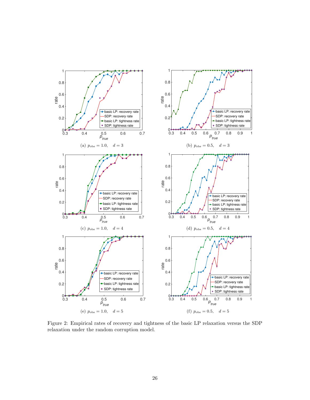

Figure 2: Empirical rates of recovery and tightness of the basic LP relaxation versus the SDP relaxation under the random corruption model.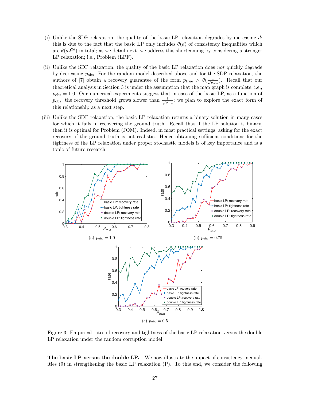- (i) Unlike the SDP relaxation, the quality of the basic LP relaxation degrades by increasing  $d$ ; this is due to the fact that the basic LP only includes  $\theta(d)$  of consistency inequalities which are  $\theta(d2^{2d})$  in total; as we detail next, we address this shortcoming by considering a stronger LP relaxation; i.e., Problem (LPF).
- (ii) Unlike the SDP relaxation, the quality of the basic LP relaxation does not quickly degrade by decreasing  $p_{\text{obs}}$ . For the random model described above and for the SDP relaxation, the authors of [7] obtain a recovery guarantee of the form  $p_{\text{true}} > \theta(\frac{1}{\sqrt{p_{\text{obs}}}})$ . Recall that our theoretical analysis in Section 3 is under the assumption that the map graph is complete, i.e.,  $p_{\text{obs}} = 1.0$ . Our numerical experiments suggest that in case of the basic LP, as a function of  $p_{\text{obs}}$ , the recovery threshold grows slower than  $\frac{1}{\sqrt{p_{\text{obs}}}}$ ; we plan to explore the exact form of this relationship as a next step.
- (iii) Unlike the SDP relaxation, the basic LP relaxation returns a binary solution in many cases for which it fails in recovering the ground truth. Recall that if the LP solution is binary, then it is optimal for Problem (JOM). Indeed, in most practical settings, asking for the exact recovery of the ground truth is not realistic. Hence obtaining sufficient conditions for the tightness of the LP relaxation under proper stochastic models is of key importance and is a topic of future research.



Figure 3: Empirical rates of recovery and tightness of the basic LP relaxation versus the double LP relaxation under the random corruption model.

The basic LP versus the double LP. We now illustrate the impact of consistency inequalities (9) in strengthening the basic LP relaxation (P). To this end, we consider the following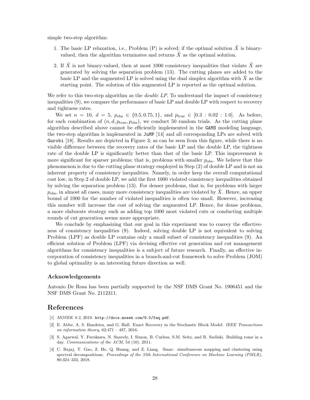simple two-step algorithm:

- 1. The basic LP relaxation, i.e., Problem (P) is solved; if the optimal solution  $\tilde{X}$  is binaryvalued, then the algorithm terminates and returns  $X$  as the optimal solution.
- 2. If X is not binary-valued, then at most 1000 consistency inequalities that violate  $X$  are generated by solving the separation problem (13). The cutting planes are added to the basic LP and the augmented LP is solved using the dual simplex algorithm with  $X$  as the starting point. The solution of this augmented LP is reported as the optimal solution.

We refer to this two-step algorithm as the *double LP*. To understand the impact of consistency inequalities (9), we compare the performance of basic LP and double LP with respect to recovery and tightness rates.

We set  $n = 10, d = 5, p_{obs} \in \{0.5, 0.75, 1\}, \text{ and } p_{true} \in [0.3 : 0.02 : 1.0].$  As before, for each combination of  $(n, d, p_{true}, p_{obs})$ , we conduct 50 random trials. As the cutting plane algorithm described above cannot be efficiently implemented in the GAMS modeling language, the two-step algorithm is implemented in JuMP [14] and all corresponding LPs are solved with Gurobi [18]. Results are depicted in Figure 3; as can be seen from this figure, while there is no visible difference between the recovery rates of the basic LP and the double LP, the tightness rate of the double LP is significantly better than that of the basic LP. This improvement is more significant for sparser problems; that is, problems with smaller  $p_{\text{obs}}$ . We believe that this phenomenon is due to the cutting plane strategy employed in Step (2) of double LP and is not an inherent property of consistency inequalities. Namely, in order keep the overall computational cost low, in Step 2 of double LP, we add the first 1000 violated consistency inequalities obtained by solving the separation problem (13). For denser problems, that is, for problems with larger  $p_{\text{obs}}$ , in almost all cases, many more consistency inequalities are violated by X. Hence, an upper bound of 1000 for the number of violated inequalities is often too small. However, increasing this number will increase the cost of solving the augmented LP. Hence, for dense problems, a more elaborate strategy such as adding top 1000 most violated cuts or conducting multiple rounds of cut generation seems more appropriate.

We conclude by emphasizing that our goal in this experiment was to convey the effectiveness of consistency inequalities (9). Indeed, solving double LP is not equivalent to solving Problem (LPF) as double LP contains only a small subset of consistency inequalities (9). An efficient solution of Problem (LPF) via devising effective cut generation and cut management algorithms for consistency inequalities is a subject of future research. Finally, an effective incorporation of consistency inequalities in a branch-and-cut framework to solve Problem (JOM) to global optimality is an interesting future direction as well.

#### Acknowledgements

Antonio De Rosa has been partially supported by the NSF DMS Grant No. 1906451 and the NSF DMS Grant No. 2112311.

### References

- [1] MOSEK 9.2, 2019. http://docs.mosek.com/9.0/faq.pdf.
- [2] E. Abbe, A. S. Bandeira, and G. Hall. Exact Recovery in the Stochastic Block Model. IEEE Transactions on information theory,  $62:471 - 487$ ,  $2016$ .
- [3] S. Agarwal, Y. Furukawa, N. Snavely, I. Simon, B. Curless, S.M. Seitz, and R. Szeliski. Building rome in a day. Communications of the ACM, 54 (10), 2011.
- [4] C. Bajaj, T. Gao, Z. He, Q. Huang, and Z. Liang. Smac: simultaneous mapping and clustering using spectral decompositions. Proceedings of the 35th International Conference on Machine Learning (PMLR), 80:324–333, 2018.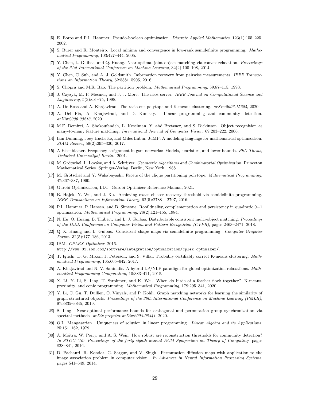- [5] E. Boros and P.L. Hammer. Pseudo-boolean optimization. Discrete Applied Mathematics, 123(1):155–225, 2002.
- [6] S. Burer and R. Monteiro. Local minima and convergence in low-rank semidefinite programming. Mathematical Programming, 103:427–444, 2005.
- [7] Y. Chen, L. Guibas, and Q. Huang. Near-optimal joint object matching via convex relaxation. Proceedings of the 31st International Conference on Machine Learning, 32(2):100–108, 2014.
- [8] Y. Chen, C. Suh, and A. J. Goldsmith. Information recovery from pairwise measurements. IEEE Transactions on Information Theory, 62:5881–5905, 2016.
- [9] S. Chopra and M.R. Rao. The partition problem. Mathematical Programming, 59:87–115, 1993.
- [10] J. Czyzyk, M. P. Mesnier, and J. J. More. The neos server. IEEE Journal on Computational Science and Engineering, 5(3):68 –75, 1998.
- [11] A. De Rosa and A. Khajavirad. The ratio-cut polytope and K-means clustering. arXiv:2006.15225, 2020.
- [12] A. Del Pia, A. Khajavirad, and D. Kunisky. Linear programming and community detection. arXiv:2006.03213, 2020.
- [13] M.F. Demirci, A. Shokoufandeh, L. Keselman, Y. abd Bretzner, and S. Dickinson. Object recognition as many-to-many feature matching. International Journal of Computer Vision, 69:203–222, 2006.
- [14] Iain Dunning, Joey Huchette, and Miles Lubin. JuMP: A modeling language for mathematical optimization. SIAM Review, 59(2):295–320, 2017.
- [15] A Eisenblatter. Frequency assignment in gsm networks: Models, heuristics, and lower bounds. PhD Thesis, Technical Universityof Berlin., 2001.
- [16] M. Grötschel, L. Lovász, and A. Schrijver. Geometric Algorithms and Combinatorial Optimization. Princeton Mathematical Series. Springer-Verlag, Berlin, New York, 1988.
- [17] M. Grötschel and Y. Wakabayashi. Facets of the clique partitioning polytope. Mathematical Programming, 47:367–387, 1990.
- [18] Gurobi Optimization, LLC. Gurobi Optimizer Reference Manual, 2021.
- [19] B. Hajek, Y. Wu, and J. Xu. Achieving exact cluster recovery threshold via semidefinite programming. IEEE Transactions on Information Theory, 62(5):2788 – 2797, 2016.
- [20] P.L. Hammer, P. Hansen, and B. Simeone. Roof duality, complementation and persistency in quadratic 0−1 optimization. Mathematical Programming, 28(2):121–155, 1984.
- [21] N. Hu, Q. Huang, B. Thibert, and L. J. Guibas. Distributable consistent multi-object matching. Proceedings of the IEEE Conference on Computer Vision and Pattern Recognition (CVPR), pages 2463–2471, 2018.
- [22] Q.-X. Huang and L. Guibas. Consistent shape maps via semidefinite programming. Computer Graphics Forum, 32(5):177–186, 2013.
- [23] IBM. CPLEX Optimizer, 2016. http://www-01.ibm.com/software/integration/optimization/cplex-optimizer/.
- [24] T. Iguchi, D. G. Mixon, J. Peterson, and S. Villar. Probably certifiably correct K-means clustering. Mathematical Programming, 165:605–642, 2017.
- [25] A. Khajavirad and N. V. Sahinidis. A hybrid LP/NLP paradigm for global optimization relaxations. Mathematical Programming Computation, 10:383–421, 2018.
- [26] X. Li, Y. Li, S. Ling, T. Strohmer, and K. Wei. When do birds of a feather flock together? K-means, proximity, and conic programming. Mathematical Programming, 179:295–341, 2020.
- [27] Y. Li, C. Gu, T. Dullien, O. Vinyals, and P. Kohli. Graph matching networks for learning the similarity of graph structured objects. Proceedings of the 36th International Conference on Machine Learning (PMLR), 97:3835–3845, 2019.
- [28] S. Ling. Near-optimal performance bounds for orthogonal and permutation group synchronization via spectral methods. arXiv preprint arXiv:2008.05341, 2020.
- [29] O.L. Mangasarian. Uniqueness of solution in linear programming. Linear Algebra and its Applications, 25:151–162, 1979.
- [30] A. Moitra, W. Perry, and A. S. Wein. How robust are reconstruction thresholds for community detection? In STOC '16: Proceedings of the forty-eighth annual ACM Symposium on Theory of Computing, pages 828–841, 2016.
- [31] D. Pachauri, R. Kondor, G. Sargur, and V. Singh. Permutation diffusion maps with application to the image association problem in computer vision. In Advances in Neural Information Processing Systems, pages 541–549, 2014.